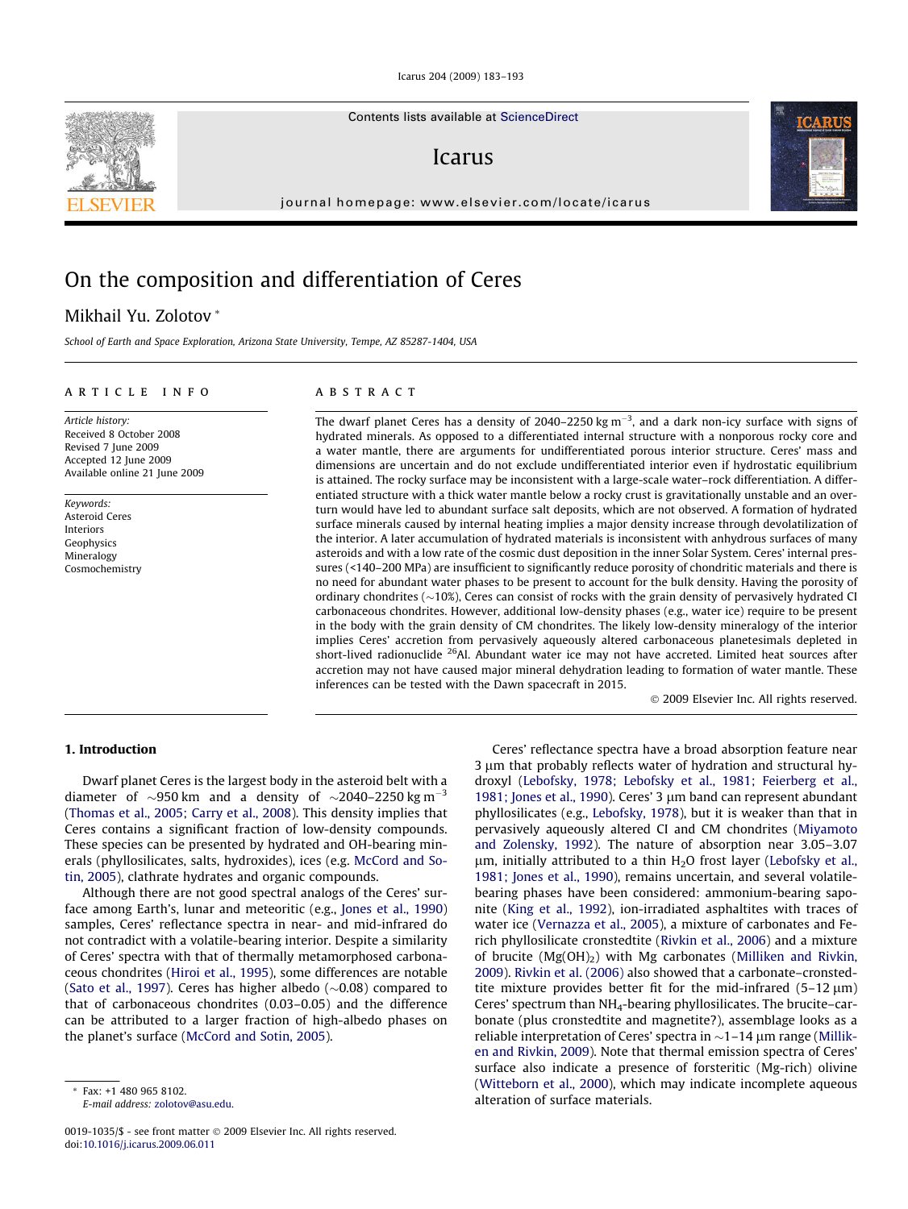Contents lists available at [ScienceDirect](http://www.sciencedirect.com/science/journal/00191035)

# Icarus

journal homepage: [www.elsevier.com/locate/icarus](http://www.elsevier.com/locate/icarus)

# On the composition and differentiation of Ceres

## Mikhail Yu. Zolotov \*

School of Earth and Space Exploration, Arizona State University, Tempe, AZ 85287-1404, USA

## article info

Article history: Received 8 October 2008 Revised 7 June 2009 Accepted 12 June 2009 Available online 21 June 2009

Keywords: Asteroid Ceres Interiors Geophysics Mineralogy Cosmochemistry

## **ABSTRACT**

The dwarf planet Ceres has a density of 2040–2250 kg  $m^{-3}$ , and a dark non-icy surface with signs of hydrated minerals. As opposed to a differentiated internal structure with a nonporous rocky core and a water mantle, there are arguments for undifferentiated porous interior structure. Ceres' mass and dimensions are uncertain and do not exclude undifferentiated interior even if hydrostatic equilibrium is attained. The rocky surface may be inconsistent with a large-scale water–rock differentiation. A differentiated structure with a thick water mantle below a rocky crust is gravitationally unstable and an overturn would have led to abundant surface salt deposits, which are not observed. A formation of hydrated surface minerals caused by internal heating implies a major density increase through devolatilization of the interior. A later accumulation of hydrated materials is inconsistent with anhydrous surfaces of many asteroids and with a low rate of the cosmic dust deposition in the inner Solar System. Ceres' internal pressures (<140–200 MPa) are insufficient to significantly reduce porosity of chondritic materials and there is no need for abundant water phases to be present to account for the bulk density. Having the porosity of ordinary chondrites ( $\sim$ 10%), Ceres can consist of rocks with the grain density of pervasively hydrated CI carbonaceous chondrites. However, additional low-density phases (e.g., water ice) require to be present in the body with the grain density of CM chondrites. The likely low-density mineralogy of the interior implies Ceres' accretion from pervasively aqueously altered carbonaceous planetesimals depleted in short-lived radionuclide <sup>26</sup>Al. Abundant water ice may not have accreted. Limited heat sources after accretion may not have caused major mineral dehydration leading to formation of water mantle. These inferences can be tested with the Dawn spacecraft in 2015.

- 2009 Elsevier Inc. All rights reserved.

## 1. Introduction

Dwarf planet Ceres is the largest body in the asteroid belt with a diameter of  $\sim$ 950 km and a density of  $\sim$ 2040–2250 kg m $^{-3}$ ([Thomas et al., 2005; Carry et al., 2008](#page-10-0)). This density implies that Ceres contains a significant fraction of low-density compounds. These species can be presented by hydrated and OH-bearing minerals (phyllosilicates, salts, hydroxides), ices (e.g. [McCord and So](#page-10-0)[tin, 2005](#page-10-0)), clathrate hydrates and organic compounds.

Although there are not good spectral analogs of the Ceres' surface among Earth's, lunar and meteoritic (e.g., [Jones et al., 1990\)](#page-10-0) samples, Ceres' reflectance spectra in near- and mid-infrared do not contradict with a volatile-bearing interior. Despite a similarity of Ceres' spectra with that of thermally metamorphosed carbonaceous chondrites [\(Hiroi et al., 1995](#page-10-0)), some differences are notable ([Sato et al., 1997\)](#page-10-0). Ceres has higher albedo  $(\sim 0.08)$  compared to that of carbonaceous chondrites (0.03–0.05) and the difference can be attributed to a larger fraction of high-albedo phases on the planet's surface [\(McCord and Sotin, 2005\)](#page-10-0).

E-mail address: [zolotov@asu.edu.](mailto:zolotov@asu.edu)

Ceres' reflectance spectra have a broad absorption feature near 3 lm that probably reflects water of hydration and structural hydroxyl [\(Lebofsky, 1978; Lebofsky et al., 1981; Feierberg et al.,](#page-10-0) [1981; Jones et al., 1990\)](#page-10-0). Ceres' 3 µm band can represent abundant phyllosilicates (e.g., [Lebofsky, 1978\)](#page-10-0), but it is weaker than that in pervasively aqueously altered CI and CM chondrites ([Miyamoto](#page-10-0) [and Zolensky, 1992](#page-10-0)). The nature of absorption near 3.05–3.07  $\mu$ m, initially attributed to a thin H<sub>2</sub>O frost layer [\(Lebofsky et al.,](#page-10-0) [1981; Jones et al., 1990](#page-10-0)), remains uncertain, and several volatilebearing phases have been considered: ammonium-bearing saponite [\(King et al., 1992](#page-10-0)), ion-irradiated asphaltites with traces of water ice ([Vernazza et al., 2005](#page-10-0)), a mixture of carbonates and Ferich phyllosilicate cronstedtite ([Rivkin et al., 2006\)](#page-10-0) and a mixture of brucite  $(Mg(OH)_2)$  with Mg carbonates [\(Milliken and Rivkin,](#page-10-0) [2009](#page-10-0)). [Rivkin et al. \(2006\)](#page-10-0) also showed that a carbonate–cronstedtite mixture provides better fit for the mid-infrared  $(5-12 \mu m)$ Ceres' spectrum than  $NH_4$ -bearing phyllosilicates. The brucite-carbonate (plus cronstedtite and magnetite?), assemblage looks as a reliable interpretation of Ceres' spectra in  $\sim$ 1–14 µm range [\(Millik](#page-10-0)[en and Rivkin, 2009\)](#page-10-0). Note that thermal emission spectra of Ceres' surface also indicate a presence of forsteritic (Mg-rich) olivine ([Witteborn et al., 2000](#page-10-0)), which may indicate incomplete aqueous alteration of surface materials.

<span id="page-0-0"></span>



<sup>\*</sup> Fax: +1 480 965 8102.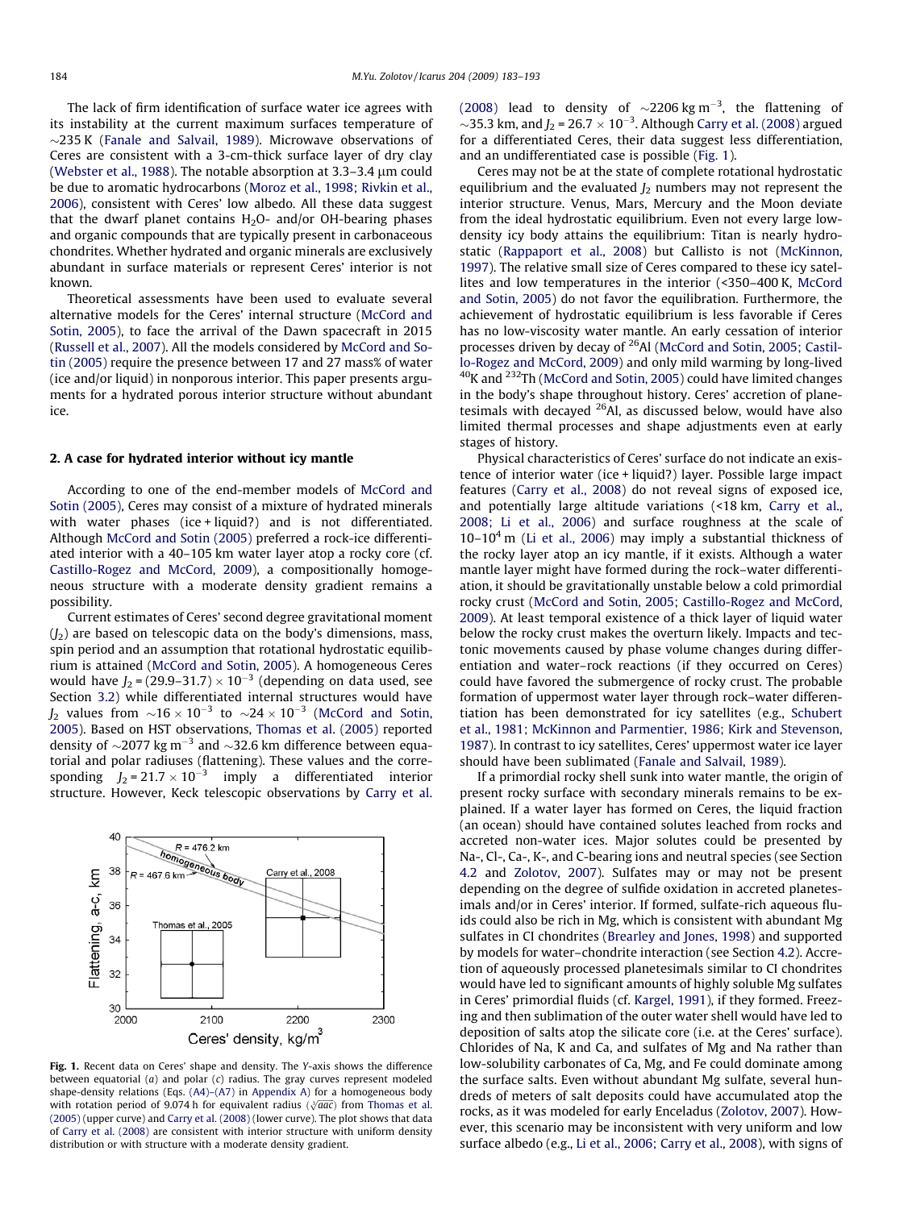<span id="page-1-0"></span>The lack of firm identification of surface water ice agrees with its instability at the current maximum surfaces temperature of  $\sim$ 235 K [\(Fanale and Salvail, 1989](#page-9-0)). Microwave observations of Ceres are consistent with a 3-cm-thick surface layer of dry clay ([Webster et al., 1988](#page-10-0)). The notable absorption at 3.3-3.4 µm could be due to aromatic hydrocarbons ([Moroz et al., 1998; Rivkin et al.,](#page-10-0) [2006\)](#page-10-0), consistent with Ceres' low albedo. All these data suggest that the dwarf planet contains  $H_2O$ - and/or OH-bearing phases and organic compounds that are typically present in carbonaceous chondrites. Whether hydrated and organic minerals are exclusively abundant in surface materials or represent Ceres' interior is not known.

Theoretical assessments have been used to evaluate several alternative models for the Ceres' internal structure [\(McCord and](#page-10-0) [Sotin, 2005](#page-10-0)), to face the arrival of the Dawn spacecraft in 2015 ([Russell et al., 2007\)](#page-10-0). All the models considered by [McCord and So](#page-10-0)[tin \(2005\)](#page-10-0) require the presence between 17 and 27 mass% of water (ice and/or liquid) in nonporous interior. This paper presents arguments for a hydrated porous interior structure without abundant ice.

#### 2. A case for hydrated interior without icy mantle

According to one of the end-member models of [McCord and](#page-10-0) [Sotin \(2005\),](#page-10-0) Ceres may consist of a mixture of hydrated minerals with water phases (ice + liquid?) and is not differentiated. Although [McCord and Sotin \(2005\)](#page-10-0) preferred a rock-ice differentiated interior with a 40–105 km water layer atop a rocky core (cf. [Castillo-Rogez and McCord, 2009](#page-9-0)), a compositionally homogeneous structure with a moderate density gradient remains a possibility.

Current estimates of Ceres' second degree gravitational moment  $(J_2)$  are based on telescopic data on the body's dimensions, mass, spin period and an assumption that rotational hydrostatic equilibrium is attained ([McCord and Sotin, 2005\)](#page-10-0). A homogeneous Ceres would have J<sub>2</sub> = (29.9–31.7)  $\times$  10<sup>–3</sup> (depending on data used, see Section [3.2\)](#page-3-0) while differentiated internal structures would have  $J_2$  values from  ${\sim}16 \times 10^{-3}$  to  ${\sim}24 \times 10^{-3}$  [\(McCord and Sotin,](#page-10-0) [2005\)](#page-10-0). Based on HST observations, [Thomas et al. \(2005\)](#page-10-0) reported density of  $\sim$ 2077 kg m<sup>-3</sup> and  $\sim$ 32.6 km difference between equatorial and polar radiuses (flattening). These values and the corresponding  $J_2 = 21.7 \times 10^{-3}$  imply a differentiated interior structure. However, Keck telescopic observations by [Carry et al.](#page-9-0)



Fig. 1. Recent data on Ceres' shape and density. The Y-axis shows the difference between equatorial  $(a)$  and polar  $(c)$  radius. The gray curves represent modeled shape-density relations (Eqs.  $(A4)$ – $(A7)$  in Appendix A) for a homogeneous body with rotation period of 9.074 h for equivalent radius  $\sqrt[3]{\text{rac}}$  from [Thomas et al.](#page-10-0) [\(2005\)](#page-10-0) (upper curve) and [Carry et al. \(2008\)](#page-9-0) (lower curve). The plot shows that data of [Carry et al. \(2008\)](#page-9-0) are consistent with interior structure with uniform density distribution or with structure with a moderate density gradient.

[\(2008\)](#page-9-0) lead to density of  $\sim$ 2206 kg m<sup>-3</sup>, the flattening of  $\sim$ 35.3 km, and J<sub>2</sub> = 26.7  $\times$  10<sup>-3</sup>. Although [Carry et al. \(2008\)](#page-9-0) argued for a differentiated Ceres, their data suggest less differentiation, and an undifferentiated case is possible (Fig. 1).

Ceres may not be at the state of complete rotational hydrostatic equilibrium and the evaluated  $J_2$  numbers may not represent the interior structure. Venus, Mars, Mercury and the Moon deviate from the ideal hydrostatic equilibrium. Even not every large lowdensity icy body attains the equilibrium: Titan is nearly hydrostatic [\(Rappaport et al., 2008](#page-10-0)) but Callisto is not [\(McKinnon,](#page-10-0) [1997\)](#page-10-0). The relative small size of Ceres compared to these icy satellites and low temperatures in the interior (<350–400 K, [McCord](#page-10-0) [and Sotin, 2005\)](#page-10-0) do not favor the equilibration. Furthermore, the achievement of hydrostatic equilibrium is less favorable if Ceres has no low-viscosity water mantle. An early cessation of interior processes driven by decay of 26Al ([McCord and Sotin, 2005; Castil](#page-10-0)[lo-Rogez and McCord, 2009\)](#page-10-0) and only mild warming by long-lived 40K and 232Th ([McCord and Sotin, 2005\)](#page-10-0) could have limited changes in the body's shape throughout history. Ceres' accretion of planetesimals with decayed <sup>26</sup>Al, as discussed below, would have also limited thermal processes and shape adjustments even at early stages of history.

Physical characteristics of Ceres' surface do not indicate an existence of interior water (ice + liquid?) layer. Possible large impact features [\(Carry et al., 2008\)](#page-9-0) do not reveal signs of exposed ice, and potentially large altitude variations (<18 km, [Carry et al.,](#page-9-0) [2008; Li et al., 2006\)](#page-9-0) and surface roughness at the scale of  $10-10<sup>4</sup>$  m [\(Li et al., 2006](#page-10-0)) may imply a substantial thickness of the rocky layer atop an icy mantle, if it exists. Although a water mantle layer might have formed during the rock–water differentiation, it should be gravitationally unstable below a cold primordial rocky crust [\(McCord and Sotin, 2005; Castillo-Rogez and McCord,](#page-10-0) [2009\)](#page-10-0). At least temporal existence of a thick layer of liquid water below the rocky crust makes the overturn likely. Impacts and tectonic movements caused by phase volume changes during differentiation and water–rock reactions (if they occurred on Ceres) could have favored the submergence of rocky crust. The probable formation of uppermost water layer through rock–water differentiation has been demonstrated for icy satellites (e.g., [Schubert](#page-10-0) [et al., 1981; McKinnon and Parmentier, 1986; Kirk and Stevenson,](#page-10-0) [1987\)](#page-10-0). In contrast to icy satellites, Ceres' uppermost water ice layer should have been sublimated [\(Fanale and Salvail, 1989](#page-9-0)).

If a primordial rocky shell sunk into water mantle, the origin of present rocky surface with secondary minerals remains to be explained. If a water layer has formed on Ceres, the liquid fraction (an ocean) should have contained solutes leached from rocks and accreted non-water ices. Major solutes could be presented by Na-, Cl-, Ca-, K-, and C-bearing ions and neutral species (see Section [4.2](#page-7-0) and [Zolotov, 2007\)](#page-10-0). Sulfates may or may not be present depending on the degree of sulfide oxidation in accreted planetesimals and/or in Ceres' interior. If formed, sulfate-rich aqueous fluids could also be rich in Mg, which is consistent with abundant Mg sulfates in CI chondrites ([Brearley and Jones, 1998](#page-9-0)) and supported by models for water–chondrite interaction (see Section [4.2\)](#page-7-0). Accretion of aqueously processed planetesimals similar to CI chondrites would have led to significant amounts of highly soluble Mg sulfates in Ceres' primordial fluids (cf. [Kargel, 1991\)](#page-10-0), if they formed. Freezing and then sublimation of the outer water shell would have led to deposition of salts atop the silicate core (i.e. at the Ceres' surface). Chlorides of Na, K and Ca, and sulfates of Mg and Na rather than low-solubility carbonates of Ca, Mg, and Fe could dominate among the surface salts. Even without abundant Mg sulfate, several hundreds of meters of salt deposits could have accumulated atop the rocks, as it was modeled for early Enceladus [\(Zolotov, 2007\)](#page-10-0). However, this scenario may be inconsistent with very uniform and low surface albedo (e.g., [Li et al., 2006; Carry et al., 2008](#page-10-0)), with signs of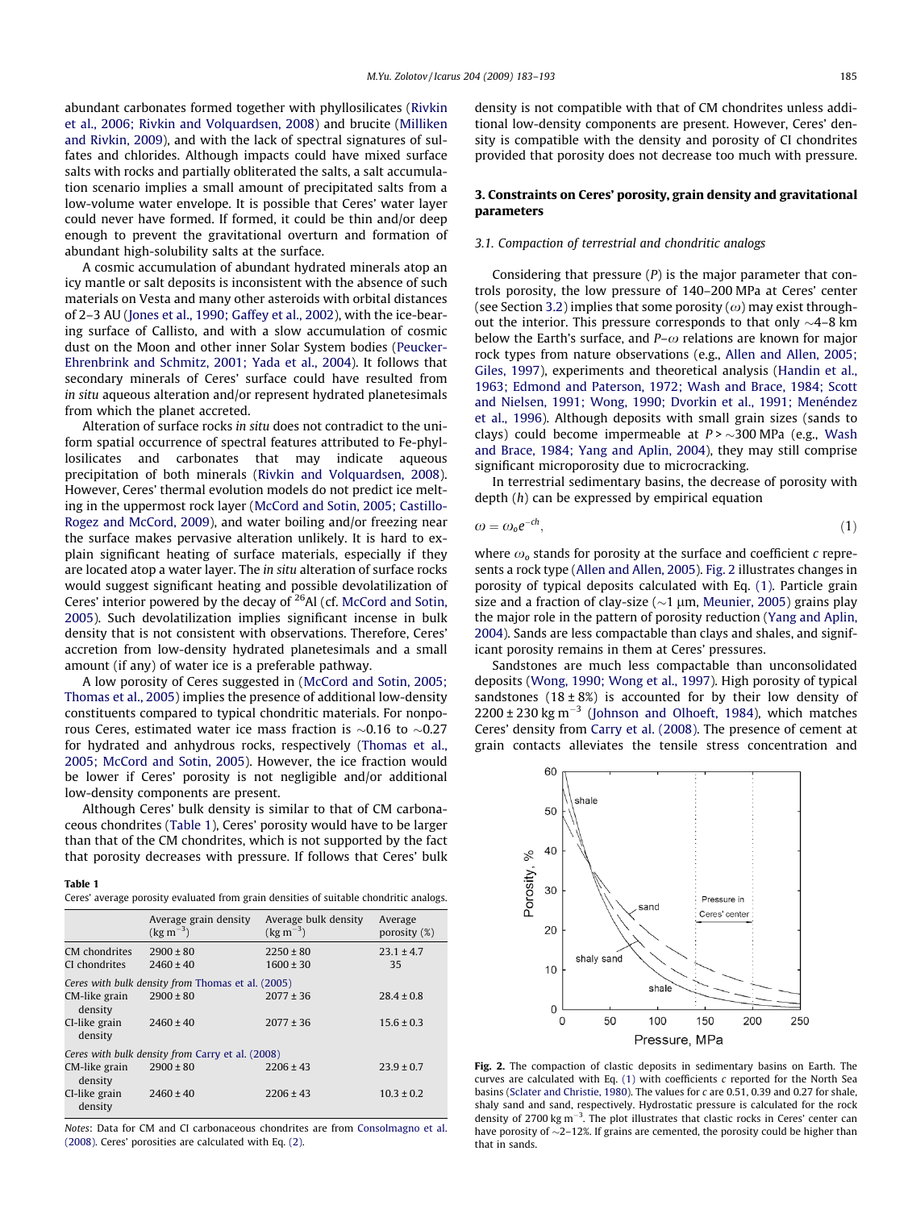<span id="page-2-0"></span>abundant carbonates formed together with phyllosilicates ([Rivkin](#page-10-0) [et al., 2006; Rivkin and Volquardsen, 2008](#page-10-0)) and brucite [\(Milliken](#page-10-0) [and Rivkin, 2009\)](#page-10-0), and with the lack of spectral signatures of sulfates and chlorides. Although impacts could have mixed surface salts with rocks and partially obliterated the salts, a salt accumulation scenario implies a small amount of precipitated salts from a low-volume water envelope. It is possible that Ceres' water layer could never have formed. If formed, it could be thin and/or deep enough to prevent the gravitational overturn and formation of abundant high-solubility salts at the surface.

A cosmic accumulation of abundant hydrated minerals atop an icy mantle or salt deposits is inconsistent with the absence of such materials on Vesta and many other asteroids with orbital distances of 2–3 AU [\(Jones et al., 1990; Gaffey et al., 2002](#page-10-0)), with the ice-bearing surface of Callisto, and with a slow accumulation of cosmic dust on the Moon and other inner Solar System bodies [\(Peucker-](#page-10-0)[Ehrenbrink and Schmitz, 2001; Yada et al., 2004](#page-10-0)). It follows that secondary minerals of Ceres' surface could have resulted from in situ aqueous alteration and/or represent hydrated planetesimals from which the planet accreted.

Alteration of surface rocks in situ does not contradict to the uniform spatial occurrence of spectral features attributed to Fe-phyllosilicates and carbonates that may indicate aqueous precipitation of both minerals [\(Rivkin and Volquardsen, 2008\)](#page-10-0). However, Ceres' thermal evolution models do not predict ice melting in the uppermost rock layer ([McCord and Sotin, 2005; Castillo-](#page-10-0)[Rogez and McCord, 2009\)](#page-10-0), and water boiling and/or freezing near the surface makes pervasive alteration unlikely. It is hard to explain significant heating of surface materials, especially if they are located atop a water layer. The in situ alteration of surface rocks would suggest significant heating and possible devolatilization of Ceres' interior powered by the decay of <sup>26</sup>Al (cf. [McCord and Sotin,](#page-10-0) [2005](#page-10-0)). Such devolatilization implies significant incense in bulk density that is not consistent with observations. Therefore, Ceres' accretion from low-density hydrated planetesimals and a small amount (if any) of water ice is a preferable pathway.

A low porosity of Ceres suggested in [\(McCord and Sotin, 2005;](#page-10-0) [Thomas et al., 2005\)](#page-10-0) implies the presence of additional low-density constituents compared to typical chondritic materials. For nonporous Ceres, estimated water ice mass fraction is  $\sim 0.16$  to  $\sim 0.27$ for hydrated and anhydrous rocks, respectively [\(Thomas et al.,](#page-10-0) [2005; McCord and Sotin, 2005\)](#page-10-0). However, the ice fraction would be lower if Ceres' porosity is not negligible and/or additional low-density components are present.

Although Ceres' bulk density is similar to that of CM carbonaceous chondrites (Table 1), Ceres' porosity would have to be larger than that of the CM chondrites, which is not supported by the fact that porosity decreases with pressure. If follows that Ceres' bulk

#### Table 1

Ceres' average porosity evaluated from grain densities of suitable chondritic analogs.

|                                                   | Average grain density<br>$(\text{kg m}^{-3})$ | Average bulk density<br>$(\text{kg m}^{-3})$ | Average<br>porosity $(\%)$ |  |  |  |  |
|---------------------------------------------------|-----------------------------------------------|----------------------------------------------|----------------------------|--|--|--|--|
| CM chondrites<br>CI chondrites                    | $2900 \pm 80$<br>$2460 \pm 40$                | $2250 \pm 80$<br>$1600 \pm 30$               | $23.1 \pm 4.7$<br>35       |  |  |  |  |
| Ceres with bulk density from Thomas et al. (2005) |                                               |                                              |                            |  |  |  |  |
| CM-like grain<br>density                          | $2900 \pm 80$                                 | $2077 \pm 36$                                | $28.4 \pm 0.8$             |  |  |  |  |
| CI-like grain<br>density                          | $2460 \pm 40$                                 | $2077 \pm 36$                                | $15.6 \pm 0.3$             |  |  |  |  |
| Ceres with bulk density from Carry et al. (2008)  |                                               |                                              |                            |  |  |  |  |
| CM-like grain<br>density                          | $2900 \pm 80$                                 | $2206 \pm 43$                                | $23.9 \pm 0.7$             |  |  |  |  |
| CI-like grain<br>density                          | $2460 \pm 40$                                 | $2206 \pm 43$                                | $10.3 \pm 0.2$             |  |  |  |  |

Notes: Data for CM and CI carbonaceous chondrites are from [Consolmagno et al.](#page-9-0) [\(2008\)](#page-9-0). Ceres' porosities are calculated with Eq. [\(2\)](#page-3-0).

density is not compatible with that of CM chondrites unless additional low-density components are present. However, Ceres' density is compatible with the density and porosity of CI chondrites provided that porosity does not decrease too much with pressure.

## 3. Constraints on Ceres' porosity, grain density and gravitational parameters

## 3.1. Compaction of terrestrial and chondritic analogs

Considering that pressure  $(P)$  is the major parameter that controls porosity, the low pressure of 140–200 MPa at Ceres' center (see Section [3.2](#page-3-0)) implies that some porosity  $(\omega)$  may exist throughout the interior. This pressure corresponds to that only  $\sim$ 4–8 km below the Earth's surface, and  $P-\omega$  relations are known for major rock types from nature observations (e.g., [Allen and Allen, 2005;](#page-9-0) [Giles, 1997](#page-9-0)), experiments and theoretical analysis ([Handin et al.,](#page-10-0) [1963; Edmond and Paterson, 1972; Wash and Brace, 1984; Scott](#page-10-0) [and Nielsen, 1991; Wong, 1990; Dvorkin et al., 1991; Menéndez](#page-10-0) [et al., 1996\)](#page-10-0). Although deposits with small grain sizes (sands to clays) could become impermeable at  $P > \sim 300$  MPa (e.g., [Wash](#page-10-0) [and Brace, 1984; Yang and Aplin, 2004\)](#page-10-0), they may still comprise significant microporosity due to microcracking.

In terrestrial sedimentary basins, the decrease of porosity with depth (h) can be expressed by empirical equation

$$
\omega = \omega_0 e^{-ch},\tag{1}
$$

where  $\omega_0$  stands for porosity at the surface and coefficient c represents a rock type [\(Allen and Allen, 2005](#page-9-0)). Fig. 2 illustrates changes in porosity of typical deposits calculated with Eq. (1). Particle grain size and a fraction of clay-size ( $\sim$ 1 µm, [Meunier, 2005\)](#page-10-0) grains play the major role in the pattern of porosity reduction [\(Yang and Aplin,](#page-10-0) [2004](#page-10-0)). Sands are less compactable than clays and shales, and significant porosity remains in them at Ceres' pressures.

Sandstones are much less compactable than unconsolidated deposits [\(Wong, 1990; Wong et al., 1997](#page-10-0)). High porosity of typical sandstones (18  $\pm$  8%) is accounted for by their low density of  $2200 \pm 230$  kg m<sup>-3</sup> ([Johnson and Olhoeft, 1984](#page-10-0)), which matches Ceres' density from [Carry et al. \(2008\)](#page-9-0). The presence of cement at grain contacts alleviates the tensile stress concentration and



Fig. 2. The compaction of clastic deposits in sedimentary basins on Earth. The curves are calculated with Eq.  $(1)$  with coefficients c reported for the North Sea basins ([Sclater and Christie, 1980](#page-10-0)). The values for c are 0.51, 0.39 and 0.27 for shale, shaly sand and sand, respectively. Hydrostatic pressure is calculated for the rock density of 2700 kg  $m^{-3}$ . The plot illustrates that clastic rocks in Ceres' center can have porosity of  $\sim$ 2–12%. If grains are cemented, the porosity could be higher than that in sands.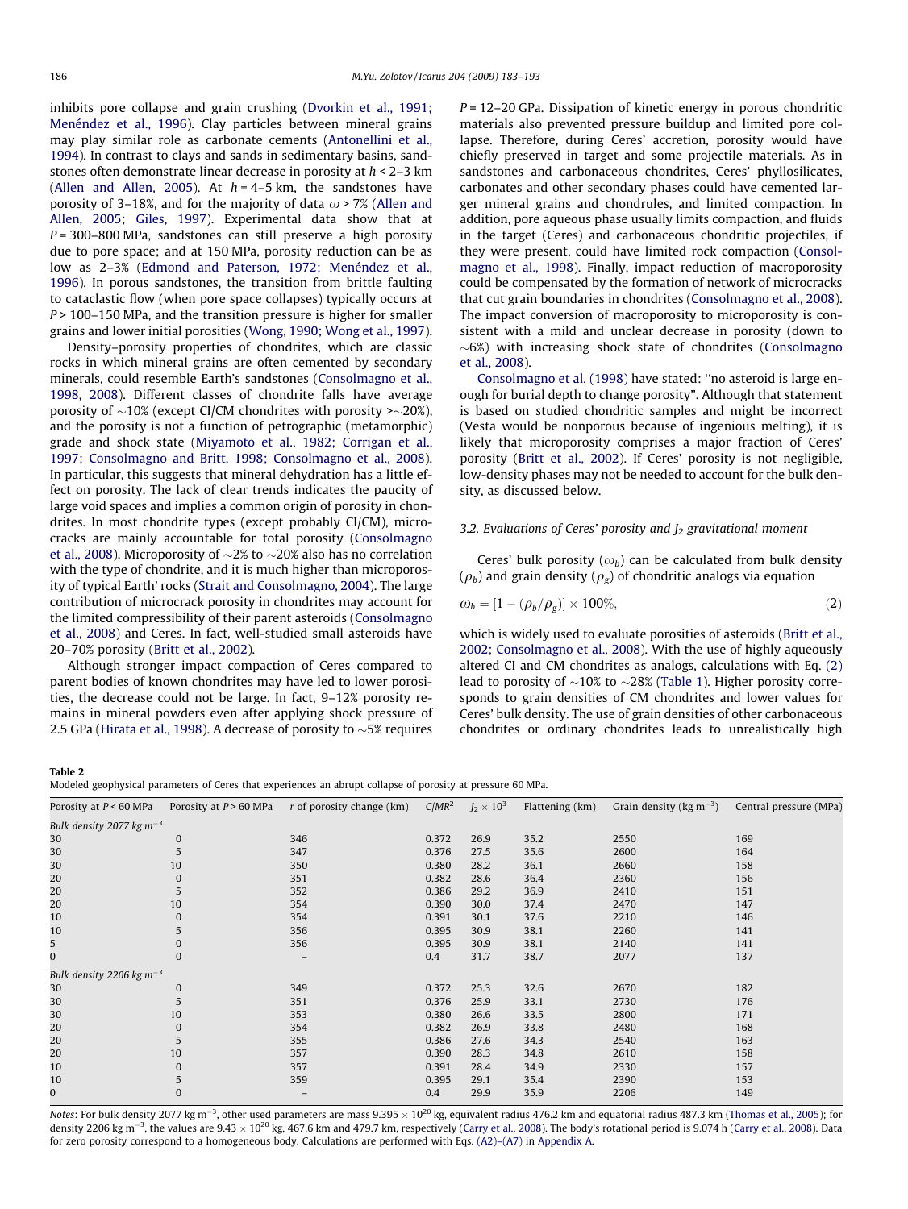<span id="page-3-0"></span>inhibits pore collapse and grain crushing ([Dvorkin et al., 1991;](#page-9-0) [Menéndez et al., 1996\)](#page-9-0). Clay particles between mineral grains may play similar role as carbonate cements [\(Antonellini et al.,](#page-9-0) [1994\)](#page-9-0). In contrast to clays and sands in sedimentary basins, sandstones often demonstrate linear decrease in porosity at h < 2–3 km ([Allen and Allen, 2005\)](#page-9-0). At  $h = 4-5$  km, the sandstones have porosity of 3–18%, and for the majority of data  $\omega$  > 7% [\(Allen and](#page-9-0) [Allen, 2005; Giles, 1997\)](#page-9-0). Experimental data show that at  $P = 300 - 800$  MPa, sandstones can still preserve a high porosity due to pore space; and at 150 MPa, porosity reduction can be as low as 2–3% ([Edmond and Paterson, 1972; Menéndez et al.,](#page-9-0) [1996\)](#page-9-0). In porous sandstones, the transition from brittle faulting to cataclastic flow (when pore space collapses) typically occurs at  $P > 100-150$  MPa, and the transition pressure is higher for smaller grains and lower initial porosities [\(Wong, 1990; Wong et al., 1997\)](#page-10-0).

Density–porosity properties of chondrites, which are classic rocks in which mineral grains are often cemented by secondary minerals, could resemble Earth's sandstones ([Consolmagno et al.,](#page-9-0) [1998, 2008\)](#page-9-0). Different classes of chondrite falls have average porosity of  $\sim$ 10% (except CI/CM chondrites with porosity > $\sim$ 20%), and the porosity is not a function of petrographic (metamorphic) grade and shock state ([Miyamoto et al., 1982; Corrigan et al.,](#page-10-0) [1997; Consolmagno and Britt, 1998; Consolmagno et al., 2008\)](#page-10-0). In particular, this suggests that mineral dehydration has a little effect on porosity. The lack of clear trends indicates the paucity of large void spaces and implies a common origin of porosity in chondrites. In most chondrite types (except probably CI/CM), microcracks are mainly accountable for total porosity ([Consolmagno](#page-9-0) [et al., 2008](#page-9-0)). Microporosity of  $\sim$ 2% to  $\sim$ 20% also has no correlation with the type of chondrite, and it is much higher than microporosity of typical Earth' rocks [\(Strait and Consolmagno, 2004](#page-10-0)). The large contribution of microcrack porosity in chondrites may account for the limited compressibility of their parent asteroids ([Consolmagno](#page-9-0) [et al., 2008\)](#page-9-0) and Ceres. In fact, well-studied small asteroids have 20–70% porosity ([Britt et al., 2002](#page-9-0)).

Although stronger impact compaction of Ceres compared to parent bodies of known chondrites may have led to lower porosities, the decrease could not be large. In fact, 9–12% porosity remains in mineral powders even after applying shock pressure of 2.5 GPa [\(Hirata et al., 1998\)](#page-10-0). A decrease of porosity to  $\sim$  5% requires  $P = 12 - 20$  GPa. Dissipation of kinetic energy in porous chondritic materials also prevented pressure buildup and limited pore collapse. Therefore, during Ceres' accretion, porosity would have chiefly preserved in target and some projectile materials. As in sandstones and carbonaceous chondrites, Ceres' phyllosilicates, carbonates and other secondary phases could have cemented larger mineral grains and chondrules, and limited compaction. In addition, pore aqueous phase usually limits compaction, and fluids in the target (Ceres) and carbonaceous chondritic projectiles, if they were present, could have limited rock compaction [\(Consol](#page-9-0)[magno et al., 1998](#page-9-0)). Finally, impact reduction of macroporosity could be compensated by the formation of network of microcracks that cut grain boundaries in chondrites ([Consolmagno et al., 2008\)](#page-9-0). The impact conversion of macroporosity to microporosity is consistent with a mild and unclear decrease in porosity (down to  $\sim$ 6%) with increasing shock state of chondrites ([Consolmagno](#page-9-0) [et al., 2008\)](#page-9-0).

[Consolmagno et al. \(1998\)](#page-9-0) have stated: ''no asteroid is large enough for burial depth to change porosity". Although that statement is based on studied chondritic samples and might be incorrect (Vesta would be nonporous because of ingenious melting), it is likely that microporosity comprises a major fraction of Ceres' porosity [\(Britt et al., 2002](#page-9-0)). If Ceres' porosity is not negligible, low-density phases may not be needed to account for the bulk density, as discussed below.

## 3.2. Evaluations of Ceres' porosity and  $J_2$  gravitational moment

Ceres' bulk porosity  $(\omega_b)$  can be calculated from bulk density  $(\rho_b)$  and grain density  $(\rho_g)$  of chondritic analogs via equation

$$
\omega_b = [1 - (\rho_b/\rho_g)] \times 100\%,\tag{2}
$$

which is widely used to evaluate porosities of asteroids ([Britt et al.,](#page-9-0) [2002; Consolmagno et al., 2008](#page-9-0)). With the use of highly aqueously altered CI and CM chondrites as analogs, calculations with Eq. (2) lead to porosity of  $\sim$ 10% to  $\sim$ 28% ([Table 1](#page-2-0)). Higher porosity corresponds to grain densities of CM chondrites and lower values for Ceres' bulk density. The use of grain densities of other carbonaceous chondrites or ordinary chondrites leads to unrealistically high

#### Table 2

Modeled geophysical parameters of Ceres that experiences an abrupt collapse of porosity at pressure 60 MPa.

| Porosity at $P < 60$ MPa       | Porosity at $P > 60$ MPa | $r$ of porosity change (km) | $C/MR^2$ | $J_2\times 10^3$ | Flattening (km) | Grain density ( $\text{kg m}^{-3}$ ) | Central pressure (MPa) |
|--------------------------------|--------------------------|-----------------------------|----------|------------------|-----------------|--------------------------------------|------------------------|
| Bulk density 2077 kg m $^{-3}$ |                          |                             |          |                  |                 |                                      |                        |
| 30                             | $\bf{0}$                 | 346                         | 0.372    | 26.9             | 35.2            | 2550                                 | 169                    |
| 30                             |                          | 347                         | 0.376    | 27.5             | 35.6            | 2600                                 | 164                    |
| 30                             | 10                       | 350                         | 0.380    | 28.2             | 36.1            | 2660                                 | 158                    |
| 20                             | $\Omega$                 | 351                         | 0.382    | 28.6             | 36.4            | 2360                                 | 156                    |
| 20                             | 5                        | 352                         | 0.386    | 29.2             | 36.9            | 2410                                 | 151                    |
| 20                             | 10                       | 354                         | 0.390    | 30.0             | 37.4            | 2470                                 | 147                    |
| 10                             | $\mathbf{0}$             | 354                         | 0.391    | 30.1             | 37.6            | 2210                                 | 146                    |
| 10                             |                          | 356                         | 0.395    | 30.9             | 38.1            | 2260                                 | 141                    |
| 5                              | $\bf{0}$                 | 356                         | 0.395    | 30.9             | 38.1            | 2140                                 | 141                    |
| $\mathbf{0}$                   | $\mathbf{0}$             | $\overline{\phantom{0}}$    | 0.4      | 31.7             | 38.7            | 2077                                 | 137                    |
| Bulk density 2206 kg m $^{-3}$ |                          |                             |          |                  |                 |                                      |                        |
| 30                             | $\bf{0}$                 | 349                         | 0.372    | 25.3             | 32.6            | 2670                                 | 182                    |
| 30                             | 5                        | 351                         | 0.376    | 25.9             | 33.1            | 2730                                 | 176                    |
| 30                             | 10                       | 353                         | 0.380    | 26.6             | 33.5            | 2800                                 | 171                    |
| 20                             | $\mathbf{0}$             | 354                         | 0.382    | 26.9             | 33.8            | 2480                                 | 168                    |
| 20                             | 5                        | 355                         | 0.386    | 27.6             | 34.3            | 2540                                 | 163                    |
| 20                             | 10                       | 357                         | 0.390    | 28.3             | 34.8            | 2610                                 | 158                    |
| 10                             | $\mathbf{0}$             | 357                         | 0.391    | 28.4             | 34.9            | 2330                                 | 157                    |
| 10                             | 5                        | 359                         | 0.395    | 29.1             | 35.4            | 2390                                 | 153                    |
| $\mathbf{0}$                   | $\mathbf{0}$             |                             | 0.4      | 29.9             | 35.9            | 2206                                 | 149                    |
|                                |                          |                             |          |                  |                 |                                      |                        |

Notes: For bulk density 2077 kg m $^{-3}$ , other used parameters are mass 9.395  $\times$  10 $^{20}$  kg, equivalent radius 476.2 km and equatorial radius 487.3 km ([Thomas et al., 2005\)](#page-10-0); for density 2206 kg m $^{-3}$ , the values are 9.43  $\times$  10<sup>20</sup> kg, 467.6 km and 479.7 km, respectively [\(Carry et al., 2008](#page-9-0)). The body's rotational period is 9.074 h ([Carry et al., 2008\)](#page-9-0). Data for zero porosity correspond to a homogeneous body. Calculations are performed with Eqs. [\(A2\)–\(A7\)](#page-9-0) in Appendix A.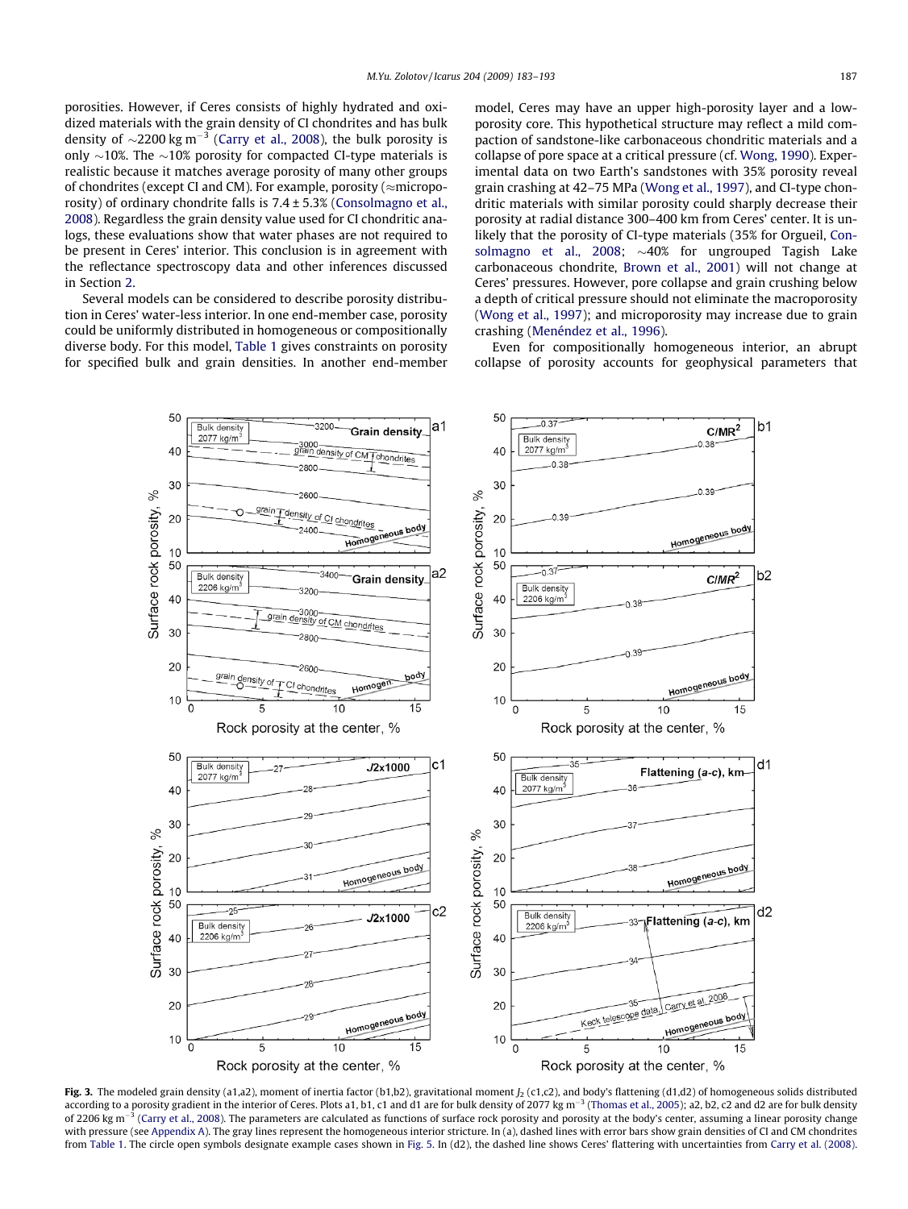<span id="page-4-0"></span>porosities. However, if Ceres consists of highly hydrated and oxidized materials with the grain density of CI chondrites and has bulk density of  $\sim$ 2200 kg m<sup>-3</sup> [\(Carry et al., 2008\)](#page-9-0), the bulk porosity is only  $\sim$ 10%. The  $\sim$ 10% porosity for compacted CI-type materials is realistic because it matches average porosity of many other groups of chondrites (except CI and CM). For example, porosity ( $\approx$ microporosity) of ordinary chondrite falls is 7.4 ± 5.3% [\(Consolmagno et al.,](#page-9-0) [2008](#page-9-0)). Regardless the grain density value used for CI chondritic analogs, these evaluations show that water phases are not required to be present in Ceres' interior. This conclusion is in agreement with the reflectance spectroscopy data and other inferences discussed in Section [2.](#page-1-0)

Several models can be considered to describe porosity distribution in Ceres' water-less interior. In one end-member case, porosity could be uniformly distributed in homogeneous or compositionally diverse body. For this model, [Table 1](#page-2-0) gives constraints on porosity for specified bulk and grain densities. In another end-member model, Ceres may have an upper high-porosity layer and a lowporosity core. This hypothetical structure may reflect a mild compaction of sandstone-like carbonaceous chondritic materials and a collapse of pore space at a critical pressure (cf. [Wong, 1990\)](#page-10-0). Experimental data on two Earth's sandstones with 35% porosity reveal grain crashing at 42–75 MPa [\(Wong et al., 1997\)](#page-10-0), and CI-type chondritic materials with similar porosity could sharply decrease their porosity at radial distance 300–400 km from Ceres' center. It is unlikely that the porosity of CI-type materials (35% for Orgueil, [Con](#page-9-0)[solmagno et al., 2008;](#page-9-0)  $\sim$ 40% for ungrouped Tagish Lake carbonaceous chondrite, [Brown et al., 2001\)](#page-9-0) will not change at Ceres' pressures. However, pore collapse and grain crushing below a depth of critical pressure should not eliminate the macroporosity ([Wong et al., 1997](#page-10-0)); and microporosity may increase due to grain crashing [\(Menéndez et al., 1996](#page-10-0)).

Even for compositionally homogeneous interior, an abrupt collapse of porosity accounts for geophysical parameters that



Fig. 3. The modeled grain density (a1,a2), moment of inertia factor (b1,b2), gravitational moment  $J_2$  (c1,c2), and body's flattening (d1,d2) of homogeneous solids distributed according to a porosity gradient in the interior of Ceres. Plots a1, b1, c1 and d1 are for bulk density of 2077 kg m<sup>-3</sup> ([Thomas et al., 2005](#page-10-0)); a2, b2, c2 and d2 are for bulk density of 2206 kg m<sup>-3</sup> ([Carry et al., 2008](#page-9-0)). The parameters are calculated as functions of surface rock porosity and porosity at the body's center, assuming a linear porosity change with pressure (see Appendix A). The gray lines represent the homogeneous interior stricture. In (a), dashed lines with error bars show grain densities of CI and CM chondrites from [Table 1](#page-2-0). The circle open symbols designate example cases shown in [Fig. 5.](#page-5-0) In (d2), the dashed line shows Ceres' flattering with uncertainties from [Carry et al. \(2008\)](#page-9-0).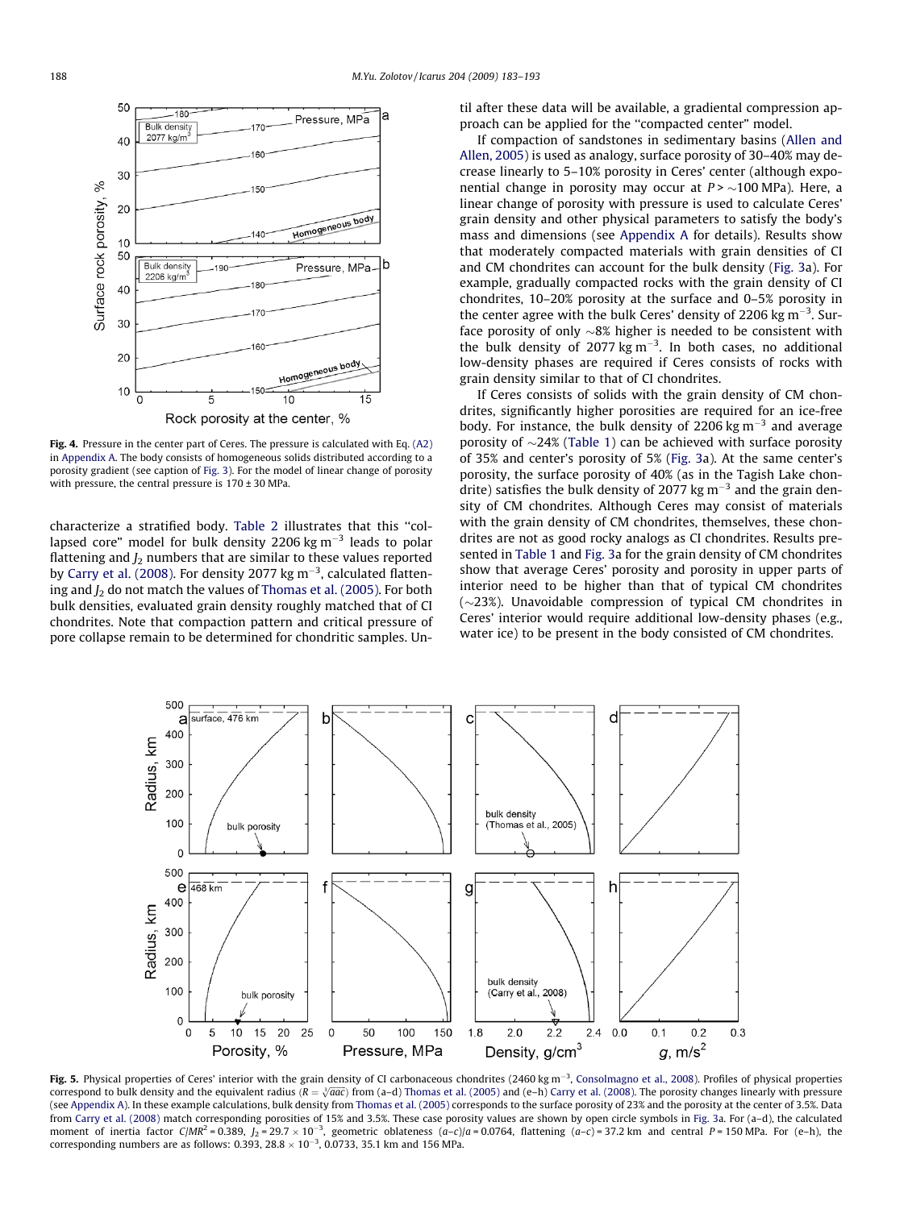<span id="page-5-0"></span>

Fig. 4. Pressure in the center part of Ceres. The pressure is calculated with Eq. [\(A2\)](#page-9-0) in Appendix A. The body consists of homogeneous solids distributed according to a porosity gradient (see caption of [Fig. 3\)](#page-4-0). For the model of linear change of porosity with pressure, the central pressure is 170 ± 30 MPa.

characterize a stratified body. [Table 2](#page-3-0) illustrates that this ''collapsed core" model for bulk density 2206 kg m $^{-3}$  leads to polar flattening and  $J_2$  numbers that are similar to these values reported by [Carry et al. \(2008\)](#page-9-0). For density 2077 kg m $^{-3}$ , calculated flattening and  $J_2$  do not match the values of [Thomas et al. \(2005\)](#page-10-0). For both bulk densities, evaluated grain density roughly matched that of CI chondrites. Note that compaction pattern and critical pressure of pore collapse remain to be determined for chondritic samples. Until after these data will be available, a gradiental compression approach can be applied for the ''compacted center" model.

If compaction of sandstones in sedimentary basins ([Allen and](#page-9-0) [Allen, 2005\)](#page-9-0) is used as analogy, surface porosity of 30–40% may decrease linearly to 5–10% porosity in Ceres' center (although exponential change in porosity may occur at  $P > \sim 100$  MPa). Here, a linear change of porosity with pressure is used to calculate Ceres' grain density and other physical parameters to satisfy the body's mass and dimensions (see Appendix A for details). Results show that moderately compacted materials with grain densities of CI and CM chondrites can account for the bulk density ([Fig. 3a](#page-4-0)). For example, gradually compacted rocks with the grain density of CI chondrites, 10–20% porosity at the surface and 0–5% porosity in the center agree with the bulk Ceres' density of 2206 kg  $m^{-3}$ . Surface porosity of only  $\sim 8\%$  higher is needed to be consistent with the bulk density of 2077 kg  $m^{-3}$ . In both cases, no additional low-density phases are required if Ceres consists of rocks with grain density similar to that of CI chondrites.

If Ceres consists of solids with the grain density of CM chondrites, significantly higher porosities are required for an ice-free body. For instance, the bulk density of 2206  $kg \text{ m}^{-3}$  and average porosity of  $\sim$ 24% ([Table 1\)](#page-2-0) can be achieved with surface porosity of 35% and center's porosity of 5% [\(Fig. 3](#page-4-0)a). At the same center's porosity, the surface porosity of 40% (as in the Tagish Lake chondrite) satisfies the bulk density of 2077 kg  $m^{-3}$  and the grain density of CM chondrites. Although Ceres may consist of materials with the grain density of CM chondrites, themselves, these chondrites are not as good rocky analogs as CI chondrites. Results presented in [Table 1](#page-2-0) and [Fig. 3a](#page-4-0) for the grain density of CM chondrites show that average Ceres' porosity and porosity in upper parts of interior need to be higher than that of typical CM chondrites  $(\sim$ 23%). Unavoidable compression of typical CM chondrites in Ceres' interior would require additional low-density phases (e.g., water ice) to be present in the body consisted of CM chondrites.



Fig. 5. Physical properties of Ceres' interior with the grain density of CI carbonaceous chondrites (2460 kg m<sup>-3</sup>, [Consolmagno et al., 2008](#page-9-0)). Profiles of physical properties Correspond to bulk density and the equivalent radius  $(R = \sqrt[3]{ac}$  from (a–d) [Thomas et al. \(2005\)](#page-10-0) and (e–h) [Carry et al. \(2008\)](#page-9-0). The porosity changes linearly with pressure correspond to bulk density and the equivalent rad (see Appendix A). In these example calculations, bulk density from [Thomas et al. \(2005\)](#page-10-0) corresponds to the surface porosity of 23% and the porosity at the center of 3.5%. Data from [Carry et al. \(2008\)](#page-9-0) match corresponding porosities of 15% and 3.5%. These case porosity values are shown by open circle symbols in [Fig. 3](#page-4-0)a. For (a–d), the calculated moment of inertia factor C/MR<sup>2</sup> = 0.389, J<sub>2</sub> = 29.7  $\times$  10<sup>-3</sup>, geometric oblateness (a-c)/a = 0.0764, flattening (a-c) = 37.2 km and central P = 150 MPa. For (e-h), the corresponding numbers are as follows: 0.393, 28.8  $\times$  10<sup>-3</sup>, 0.0733, 35.1 km and 156 MPa.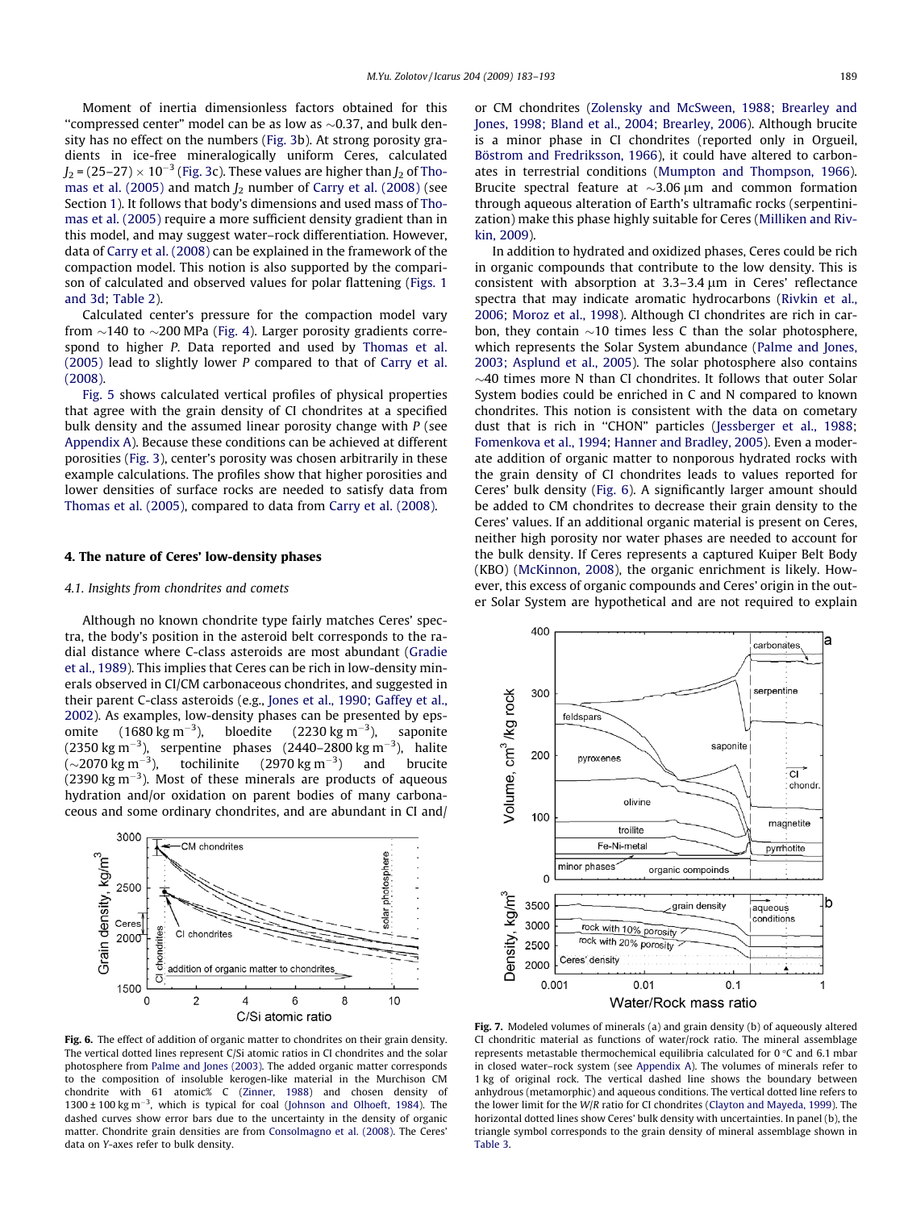<span id="page-6-0"></span>Moment of inertia dimensionless factors obtained for this "compressed center" model can be as low as  $\sim$ 0.37, and bulk density has no effect on the numbers [\(Fig. 3](#page-4-0)b). At strong porosity gradients in ice-free mineralogically uniform Ceres, calculated J<sub>2</sub> = (25–27)  $\times$  10<sup>–3</sup> ([Fig. 3](#page-4-0)c). These values are higher than J<sub>2</sub> of [Tho](#page-10-0)[mas et al. \(2005\)](#page-10-0) and match  $J_2$  number of [Carry et al. \(2008\)](#page-9-0) (see Section [1\)](#page-0-0). It follows that body's dimensions and used mass of [Tho](#page-10-0)[mas et al. \(2005\)](#page-10-0) require a more sufficient density gradient than in this model, and may suggest water–rock differentiation. However, data of [Carry et al. \(2008\)](#page-9-0) can be explained in the framework of the compaction model. This notion is also supported by the comparison of calculated and observed values for polar flattening [\(Figs. 1](#page-1-0) [and 3d;](#page-1-0) [Table 2](#page-3-0)).

Calculated center's pressure for the compaction model vary from  $\sim$ 140 to  $\sim$ 200 MPa [\(Fig. 4\)](#page-5-0). Larger porosity gradients correspond to higher P. Data reported and used by [Thomas et al.](#page-10-0) [\(2005\)](#page-10-0) lead to slightly lower P compared to that of [Carry et al.](#page-9-0) [\(2008\)](#page-9-0).

[Fig. 5](#page-5-0) shows calculated vertical profiles of physical properties that agree with the grain density of CI chondrites at a specified bulk density and the assumed linear porosity change with  $P$  (see Appendix A). Because these conditions can be achieved at different porosities ([Fig. 3](#page-4-0)), center's porosity was chosen arbitrarily in these example calculations. The profiles show that higher porosities and lower densities of surface rocks are needed to satisfy data from [Thomas et al. \(2005\)](#page-10-0), compared to data from [Carry et al. \(2008\)](#page-9-0).

#### 4. The nature of Ceres' low-density phases

#### 4.1. Insights from chondrites and comets

Although no known chondrite type fairly matches Ceres' spectra, the body's position in the asteroid belt corresponds to the radial distance where C-class asteroids are most abundant ([Gradie](#page-10-0) [et al., 1989](#page-10-0)). This implies that Ceres can be rich in low-density minerals observed in CI/CM carbonaceous chondrites, and suggested in their parent C-class asteroids (e.g., [Jones et al., 1990; Gaffey et al.,](#page-10-0) [2002](#page-10-0)). As examples, low-density phases can be presented by epsomite  $(1680 \text{ kg m}^{-3}$ ), bloedite  $(2230 \text{ kg m}^{-3})$ ), saponite (2350 kg m<sup>-3</sup>), serpentine phases (2440-2800 kg m<sup>-3</sup>), halite ( $\sim$ 2070 kg m<sup>-3</sup>), tochilinite (2970 kg m<sup>-3</sup>) and brucite  $(2390 \text{ kg m}^{-3})$ . Most of these minerals are products of aqueous hydration and/or oxidation on parent bodies of many carbonaceous and some ordinary chondrites, and are abundant in CI and/



Fig. 6. The effect of addition of organic matter to chondrites on their grain density. The vertical dotted lines represent C/Si atomic ratios in CI chondrites and the solar photosphere from [Palme and Jones \(2003\).](#page-10-0) The added organic matter corresponds to the composition of insoluble kerogen-like material in the Murchison CM chondrite with 61 atomic% C [\(Zinner, 1988\)](#page-10-0) and chosen density of  $1300 \pm 100$  kg m<sup>-3</sup>, which is typical for coal [\(Johnson and Olhoeft, 1984\)](#page-10-0). The dashed curves show error bars due to the uncertainty in the density of organic matter. Chondrite grain densities are from [Consolmagno et al. \(2008\).](#page-9-0) The Ceres' data on Y-axes refer to bulk density.

or CM chondrites [\(Zolensky and McSween, 1988; Brearley and](#page-10-0) [Jones, 1998; Bland et al., 2004; Brearley, 2006](#page-10-0)). Although brucite is a minor phase in CI chondrites (reported only in Orgueil, [Böstrom and Fredriksson, 1966](#page-9-0)), it could have altered to carbonates in terrestrial conditions ([Mumpton and Thompson, 1966\)](#page-10-0). Brucite spectral feature at  $\sim$ 3.06  $\mu$ m and common formation through aqueous alteration of Earth's ultramafic rocks (serpentinization) make this phase highly suitable for Ceres [\(Milliken and Riv](#page-10-0)[kin, 2009\)](#page-10-0).

In addition to hydrated and oxidized phases, Ceres could be rich in organic compounds that contribute to the low density. This is consistent with absorption at  $3.3-3.4 \mu m$  in Ceres' reflectance spectra that may indicate aromatic hydrocarbons ([Rivkin et al.,](#page-10-0) [2006; Moroz et al., 1998](#page-10-0)). Although CI chondrites are rich in carbon, they contain  $\sim$ 10 times less C than the solar photosphere, which represents the Solar System abundance ([Palme and Jones,](#page-10-0) [2003; Asplund et al., 2005\)](#page-10-0). The solar photosphere also contains  $\sim$ 40 times more N than CI chondrites. It follows that outer Solar System bodies could be enriched in C and N compared to known chondrites. This notion is consistent with the data on cometary dust that is rich in ''CHON" particles [\(Jessberger et al., 1988;](#page-10-0) [Fomenkova et al., 1994](#page-9-0); [Hanner and Bradley, 2005\)](#page-10-0). Even a moderate addition of organic matter to nonporous hydrated rocks with the grain density of CI chondrites leads to values reported for Ceres' bulk density (Fig. 6). A significantly larger amount should be added to CM chondrites to decrease their grain density to the Ceres' values. If an additional organic material is present on Ceres, neither high porosity nor water phases are needed to account for the bulk density. If Ceres represents a captured Kuiper Belt Body (KBO) [\(McKinnon, 2008](#page-10-0)), the organic enrichment is likely. However, this excess of organic compounds and Ceres' origin in the outer Solar System are hypothetical and are not required to explain



Fig. 7. Modeled volumes of minerals (a) and grain density (b) of aqueously altered CI chondritic material as functions of water/rock ratio. The mineral assemblage represents metastable thermochemical equilibria calculated for  $0^{\circ}$ C and 6.1 mbar in closed water–rock system (see Appendix A). The volumes of minerals refer to 1 kg of original rock. The vertical dashed line shows the boundary between anhydrous (metamorphic) and aqueous conditions. The vertical dotted line refers to the lower limit for the W/R ratio for CI chondrites [\(Clayton and Mayeda, 1999\)](#page-9-0). The horizontal dotted lines show Ceres' bulk density with uncertainties. In panel (b), the triangle symbol corresponds to the grain density of mineral assemblage shown in [Table 3.](#page-7-0)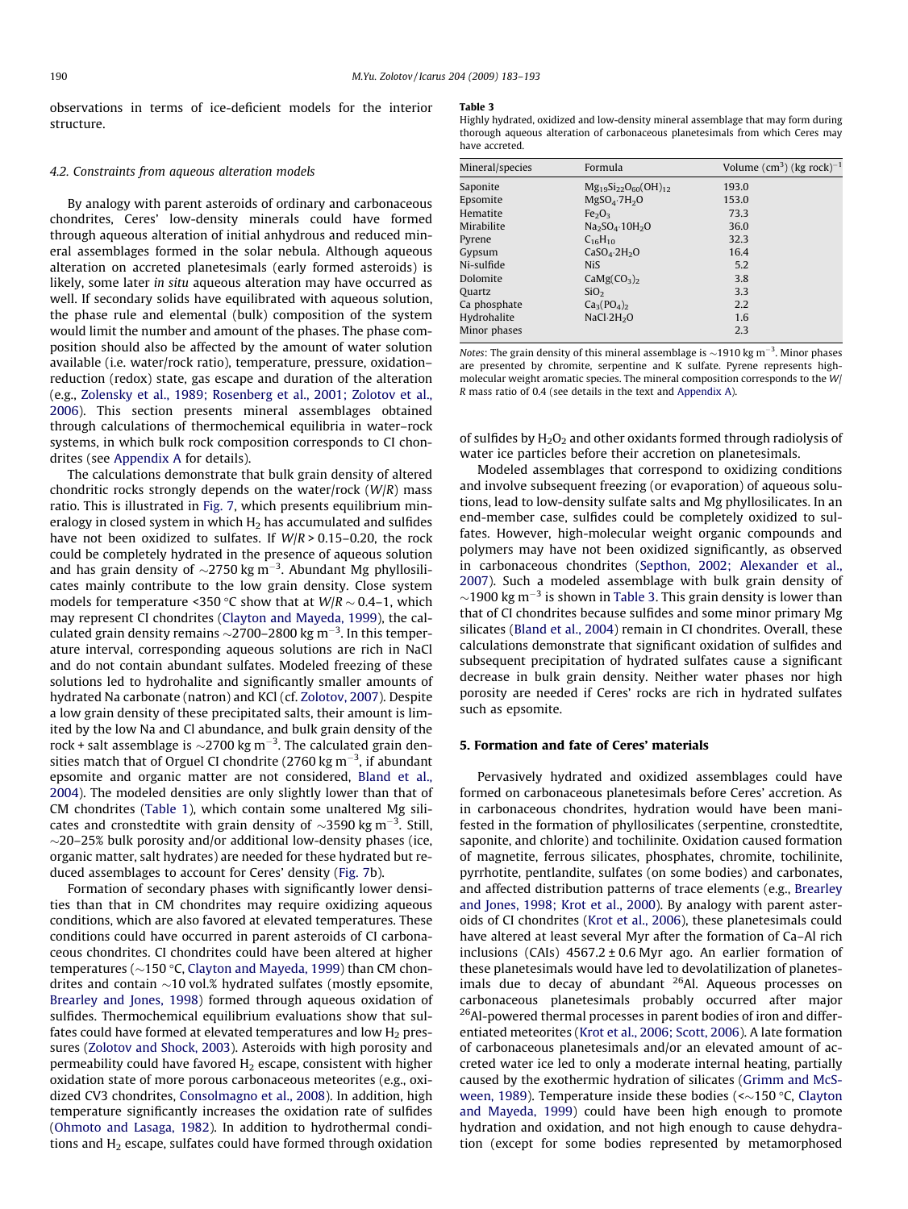<span id="page-7-0"></span>observations in terms of ice-deficient models for the interior structure.

### 4.2. Constraints from aqueous alteration models

By analogy with parent asteroids of ordinary and carbonaceous chondrites, Ceres' low-density minerals could have formed through aqueous alteration of initial anhydrous and reduced mineral assemblages formed in the solar nebula. Although aqueous alteration on accreted planetesimals (early formed asteroids) is likely, some later in situ aqueous alteration may have occurred as well. If secondary solids have equilibrated with aqueous solution, the phase rule and elemental (bulk) composition of the system would limit the number and amount of the phases. The phase composition should also be affected by the amount of water solution available (i.e. water/rock ratio), temperature, pressure, oxidation– reduction (redox) state, gas escape and duration of the alteration (e.g., [Zolensky et al., 1989; Rosenberg et al., 2001; Zolotov et al.,](#page-10-0) [2006\)](#page-10-0). This section presents mineral assemblages obtained through calculations of thermochemical equilibria in water–rock systems, in which bulk rock composition corresponds to CI chondrites (see Appendix A for details).

The calculations demonstrate that bulk grain density of altered chondritic rocks strongly depends on the water/rock  $(W/R)$  mass ratio. This is illustrated in [Fig. 7,](#page-6-0) which presents equilibrium mineralogy in closed system in which  $H_2$  has accumulated and sulfides have not been oxidized to sulfates. If  $W/R > 0.15-0.20$ , the rock could be completely hydrated in the presence of aqueous solution and has grain density of  $\sim$ 2750 kg m<sup>-3</sup>. Abundant Mg phyllosilicates mainly contribute to the low grain density. Close system models for temperature <350 °C show that at  $W/R \sim 0.4$ –1, which may represent CI chondrites [\(Clayton and Mayeda, 1999](#page-9-0)), the calculated grain density remains  ${\sim}2700$ –2800 kg m $^{-3}$ . In this temperature interval, corresponding aqueous solutions are rich in NaCl and do not contain abundant sulfates. Modeled freezing of these solutions led to hydrohalite and significantly smaller amounts of hydrated Na carbonate (natron) and KCl (cf. [Zolotov, 2007](#page-10-0)). Despite a low grain density of these precipitated salts, their amount is limited by the low Na and Cl abundance, and bulk grain density of the rock + salt assemblage is  $\sim$ 2700 kg m $^{-3}$ . The calculated grain densities match that of Orguel CI chondrite (2760 kg m $^{-3}$ , if abundant epsomite and organic matter are not considered, [Bland et al.,](#page-9-0) [2004\)](#page-9-0). The modeled densities are only slightly lower than that of CM chondrites [\(Table 1\)](#page-2-0), which contain some unaltered Mg silicates and cronstedtite with grain density of  $\sim$ 3590 kg m<sup>-3</sup>. Still,  $\sim$ 20–25% bulk porosity and/or additional low-density phases (ice, organic matter, salt hydrates) are needed for these hydrated but reduced assemblages to account for Ceres' density [\(Fig. 7b](#page-6-0)).

Formation of secondary phases with significantly lower densities than that in CM chondrites may require oxidizing aqueous conditions, which are also favored at elevated temperatures. These conditions could have occurred in parent asteroids of CI carbonaceous chondrites. CI chondrites could have been altered at higher temperatures ( $\sim$ 150 °C, [Clayton and Mayeda, 1999](#page-9-0)) than CM chondrites and contain  $\sim$ 10 vol.% hydrated sulfates (mostly epsomite, [Brearley and Jones, 1998](#page-9-0)) formed through aqueous oxidation of sulfides. Thermochemical equilibrium evaluations show that sulfates could have formed at elevated temperatures and low  $H_2$  pressures [\(Zolotov and Shock, 2003](#page-10-0)). Asteroids with high porosity and permeability could have favored  $H_2$  escape, consistent with higher oxidation state of more porous carbonaceous meteorites (e.g., oxidized CV3 chondrites, [Consolmagno et al., 2008](#page-9-0)). In addition, high temperature significantly increases the oxidation rate of sulfides ([Ohmoto and Lasaga, 1982](#page-10-0)). In addition to hydrothermal conditions and  $H_2$  escape, sulfates could have formed through oxidation

#### Table 3

Highly hydrated, oxidized and low-density mineral assemblage that may form during thorough aqueous alteration of carbonaceous planetesimals from which Ceres may have accreted.

| Mineral/species | Formula                              | Volume $(cm^3)$ (kg rock) <sup>-1</sup> |
|-----------------|--------------------------------------|-----------------------------------------|
| Saponite        | $Mg_{19}Si_{22}O_{60}(OH)_{12}$      | 193.0                                   |
| Epsomite        | MgSO <sub>4</sub> ·7H <sub>2</sub> O | 153.0                                   |
| Hematite        | Fe <sub>2</sub> O <sub>3</sub>       | 73.3                                    |
| Mirabilite      | $Na2SO4$ 10H <sub>2</sub> O          | 36.0                                    |
| Pyrene          | $C_{16}H_{10}$                       | 32.3                                    |
| Gypsum          | CaSO <sub>4</sub> ·2H <sub>2</sub> O | 16.4                                    |
| Ni-sulfide      | <b>NiS</b>                           | 5.2                                     |
| Dolomite        | CaMg(CO <sub>3</sub> ) <sub>2</sub>  | 3.8                                     |
| Ouartz          | SiO <sub>2</sub>                     | 3.3                                     |
| Ca phosphate    | $Ca3(PO4)2$                          | 2.2                                     |
| Hydrohalite     | NaCl·2H <sub>2</sub> O               | 1.6                                     |
| Minor phases    |                                      | 2.3                                     |

Notes: The grain density of this mineral assemblage is  $\sim$ 1910 kg m<sup>-3</sup>. Minor phases are presented by chromite, serpentine and K sulfate. Pyrene represents highmolecular weight aromatic species. The mineral composition corresponds to the W/ R mass ratio of 0.4 (see details in the text and Appendix A).

of sulfides by  $H_2O_2$  and other oxidants formed through radiolysis of water ice particles before their accretion on planetesimals.

Modeled assemblages that correspond to oxidizing conditions and involve subsequent freezing (or evaporation) of aqueous solutions, lead to low-density sulfate salts and Mg phyllosilicates. In an end-member case, sulfides could be completely oxidized to sulfates. However, high-molecular weight organic compounds and polymers may have not been oxidized significantly, as observed in carbonaceous chondrites [\(Septhon, 2002; Alexander et al.,](#page-10-0) [2007\)](#page-10-0). Such a modeled assemblage with bulk grain density of  $\sim$ 1900 kg m<sup>-3</sup> is shown in Table 3. This grain density is lower than that of CI chondrites because sulfides and some minor primary Mg silicates [\(Bland et al., 2004\)](#page-9-0) remain in CI chondrites. Overall, these calculations demonstrate that significant oxidation of sulfides and subsequent precipitation of hydrated sulfates cause a significant decrease in bulk grain density. Neither water phases nor high porosity are needed if Ceres' rocks are rich in hydrated sulfates such as epsomite.

## 5. Formation and fate of Ceres' materials

Pervasively hydrated and oxidized assemblages could have formed on carbonaceous planetesimals before Ceres' accretion. As in carbonaceous chondrites, hydration would have been manifested in the formation of phyllosilicates (serpentine, cronstedtite, saponite, and chlorite) and tochilinite. Oxidation caused formation of magnetite, ferrous silicates, phosphates, chromite, tochilinite, pyrrhotite, pentlandite, sulfates (on some bodies) and carbonates, and affected distribution patterns of trace elements (e.g., [Brearley](#page-9-0) [and Jones, 1998; Krot et al., 2000](#page-9-0)). By analogy with parent asteroids of CI chondrites ([Krot et al., 2006\)](#page-10-0), these planetesimals could have altered at least several Myr after the formation of Ca–Al rich inclusions (CAIs)  $4567.2 \pm 0.6$  Myr ago. An earlier formation of these planetesimals would have led to devolatilization of planetesimals due to decay of abundant <sup>26</sup>Al. Aqueous processes on carbonaceous planetesimals probably occurred after major <sup>26</sup>Al-powered thermal processes in parent bodies of iron and differentiated meteorites [\(Krot et al., 2006; Scott, 2006](#page-10-0)). A late formation of carbonaceous planetesimals and/or an elevated amount of accreted water ice led to only a moderate internal heating, partially caused by the exothermic hydration of silicates ([Grimm and McS](#page-10-0)[ween, 1989\)](#page-10-0). Temperature inside these bodies ( $\leq$ -150 °C, [Clayton](#page-9-0) [and Mayeda, 1999\)](#page-9-0) could have been high enough to promote hydration and oxidation, and not high enough to cause dehydration (except for some bodies represented by metamorphosed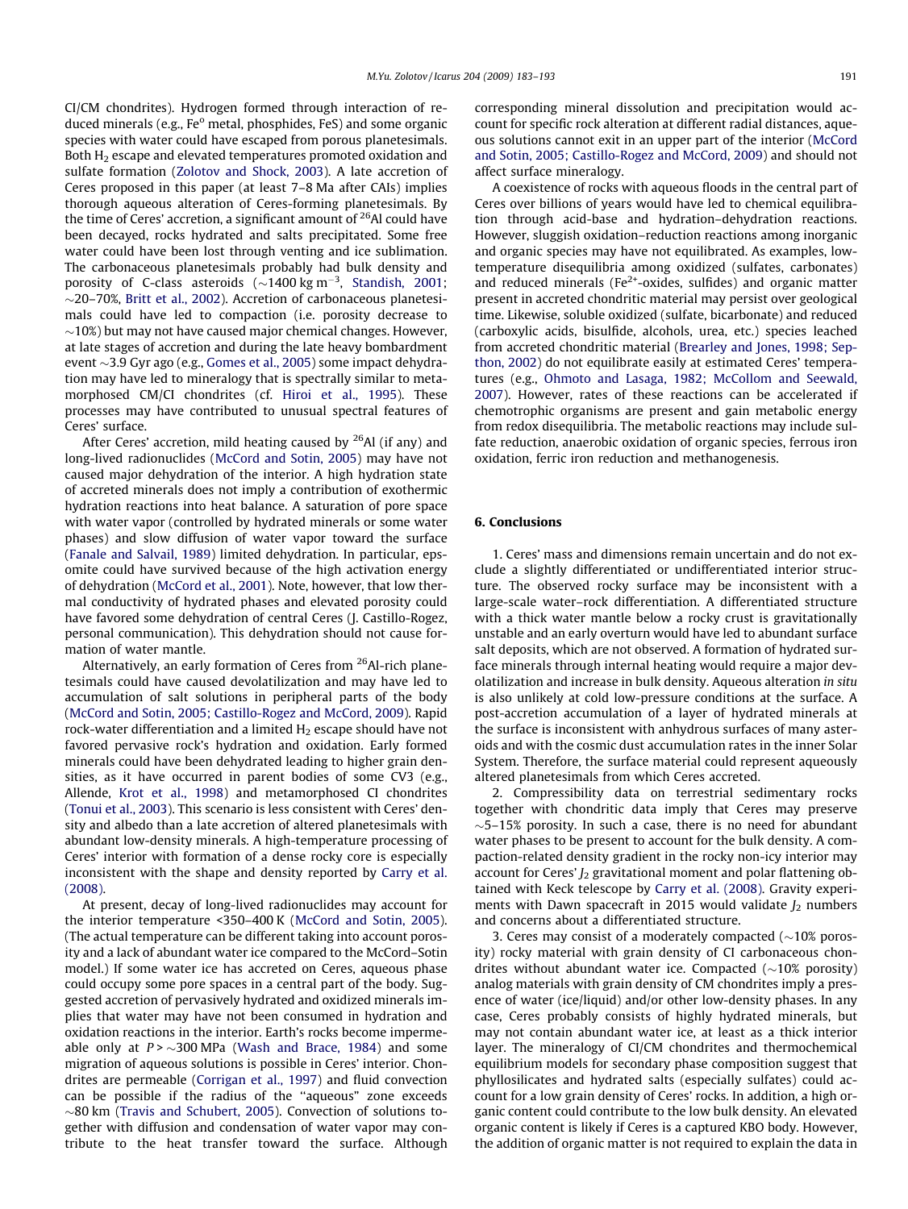CI/CM chondrites). Hydrogen formed through interaction of reduced minerals (e.g., Fe<sup>o</sup> metal, phosphides, FeS) and some organic species with water could have escaped from porous planetesimals. Both  $H_2$  escape and elevated temperatures promoted oxidation and sulfate formation ([Zolotov and Shock, 2003](#page-10-0)). A late accretion of Ceres proposed in this paper (at least 7–8 Ma after CAIs) implies thorough aqueous alteration of Ceres-forming planetesimals. By the time of Ceres' accretion, a significant amount of  $26$ Al could have been decayed, rocks hydrated and salts precipitated. Some free water could have been lost through venting and ice sublimation. The carbonaceous planetesimals probably had bulk density and porosity of C-class asteroids ( $\sim$ 1400 kg m<sup>-3</sup>, [Standish, 2001;](#page-10-0)  $\sim$ 20–70%, [Britt et al., 2002\)](#page-9-0). Accretion of carbonaceous planetesimals could have led to compaction (i.e. porosity decrease to  $\sim$ 10%) but may not have caused major chemical changes. However, at late stages of accretion and during the late heavy bombardment event  $\sim$ 3.9 Gyr ago (e.g., [Gomes et al., 2005](#page-10-0)) some impact dehydration may have led to mineralogy that is spectrally similar to metamorphosed CM/CI chondrites (cf. [Hiroi et al., 1995\)](#page-10-0). These processes may have contributed to unusual spectral features of Ceres' surface.

After Ceres' accretion, mild heating caused by  $^{26}$ Al (if any) and long-lived radionuclides [\(McCord and Sotin, 2005](#page-10-0)) may have not caused major dehydration of the interior. A high hydration state of accreted minerals does not imply a contribution of exothermic hydration reactions into heat balance. A saturation of pore space with water vapor (controlled by hydrated minerals or some water phases) and slow diffusion of water vapor toward the surface ([Fanale and Salvail, 1989](#page-9-0)) limited dehydration. In particular, epsomite could have survived because of the high activation energy of dehydration [\(McCord et al., 2001](#page-10-0)). Note, however, that low thermal conductivity of hydrated phases and elevated porosity could have favored some dehydration of central Ceres (J. Castillo-Rogez, personal communication). This dehydration should not cause formation of water mantle.

Alternatively, an early formation of Ceres from 26Al-rich planetesimals could have caused devolatilization and may have led to accumulation of salt solutions in peripheral parts of the body ([McCord and Sotin, 2005; Castillo-Rogez and McCord, 2009\)](#page-10-0). Rapid rock-water differentiation and a limited  $H_2$  escape should have not favored pervasive rock's hydration and oxidation. Early formed minerals could have been dehydrated leading to higher grain densities, as it have occurred in parent bodies of some CV3 (e.g., Allende, [Krot et al., 1998\)](#page-10-0) and metamorphosed CI chondrites ([Tonui et al., 2003\)](#page-10-0). This scenario is less consistent with Ceres' density and albedo than a late accretion of altered planetesimals with abundant low-density minerals. A high-temperature processing of Ceres' interior with formation of a dense rocky core is especially inconsistent with the shape and density reported by [Carry et al.](#page-9-0) [\(2008\)](#page-9-0).

At present, decay of long-lived radionuclides may account for the interior temperature <350–400 K ([McCord and Sotin, 2005\)](#page-10-0). (The actual temperature can be different taking into account porosity and a lack of abundant water ice compared to the McCord–Sotin model.) If some water ice has accreted on Ceres, aqueous phase could occupy some pore spaces in a central part of the body. Suggested accretion of pervasively hydrated and oxidized minerals implies that water may have not been consumed in hydration and oxidation reactions in the interior. Earth's rocks become impermeable only at  $P > \sim 300$  MPa ([Wash and Brace, 1984](#page-10-0)) and some migration of aqueous solutions is possible in Ceres' interior. Chondrites are permeable [\(Corrigan et al., 1997](#page-9-0)) and fluid convection can be possible if the radius of the ''aqueous" zone exceeds  $\sim$ 80 km ([Travis and Schubert, 2005](#page-10-0)). Convection of solutions together with diffusion and condensation of water vapor may contribute to the heat transfer toward the surface. Although corresponding mineral dissolution and precipitation would account for specific rock alteration at different radial distances, aqueous solutions cannot exit in an upper part of the interior [\(McCord](#page-10-0) [and Sotin, 2005; Castillo-Rogez and McCord, 2009](#page-10-0)) and should not affect surface mineralogy.

A coexistence of rocks with aqueous floods in the central part of Ceres over billions of years would have led to chemical equilibration through acid-base and hydration–dehydration reactions. However, sluggish oxidation–reduction reactions among inorganic and organic species may have not equilibrated. As examples, lowtemperature disequilibria among oxidized (sulfates, carbonates) and reduced minerals ( $Fe<sup>2+</sup>$ -oxides, sulfides) and organic matter present in accreted chondritic material may persist over geological time. Likewise, soluble oxidized (sulfate, bicarbonate) and reduced (carboxylic acids, bisulfide, alcohols, urea, etc.) species leached from accreted chondritic material ([Brearley and Jones, 1998; Sep](#page-9-0)[thon, 2002](#page-9-0)) do not equilibrate easily at estimated Ceres' temperatures (e.g., [Ohmoto and Lasaga, 1982; McCollom and Seewald,](#page-10-0) [2007](#page-10-0)). However, rates of these reactions can be accelerated if chemotrophic organisms are present and gain metabolic energy from redox disequilibria. The metabolic reactions may include sulfate reduction, anaerobic oxidation of organic species, ferrous iron oxidation, ferric iron reduction and methanogenesis.

## 6. Conclusions

1. Ceres' mass and dimensions remain uncertain and do not exclude a slightly differentiated or undifferentiated interior structure. The observed rocky surface may be inconsistent with a large-scale water–rock differentiation. A differentiated structure with a thick water mantle below a rocky crust is gravitationally unstable and an early overturn would have led to abundant surface salt deposits, which are not observed. A formation of hydrated surface minerals through internal heating would require a major devolatilization and increase in bulk density. Aqueous alteration in situ is also unlikely at cold low-pressure conditions at the surface. A post-accretion accumulation of a layer of hydrated minerals at the surface is inconsistent with anhydrous surfaces of many asteroids and with the cosmic dust accumulation rates in the inner Solar System. Therefore, the surface material could represent aqueously altered planetesimals from which Ceres accreted.

2. Compressibility data on terrestrial sedimentary rocks together with chondritic data imply that Ceres may preserve  $\sim$ 5–15% porosity. In such a case, there is no need for abundant water phases to be present to account for the bulk density. A compaction-related density gradient in the rocky non-icy interior may account for Ceres'  $J_2$  gravitational moment and polar flattening obtained with Keck telescope by [Carry et al. \(2008\).](#page-9-0) Gravity experiments with Dawn spacecraft in 2015 would validate  $J_2$  numbers and concerns about a differentiated structure.

3. Ceres may consist of a moderately compacted  $(\sim 10\%$  porosity) rocky material with grain density of CI carbonaceous chondrites without abundant water ice. Compacted  $(\sim 10\%$  porosity) analog materials with grain density of CM chondrites imply a presence of water (ice/liquid) and/or other low-density phases. In any case, Ceres probably consists of highly hydrated minerals, but may not contain abundant water ice, at least as a thick interior layer. The mineralogy of CI/CM chondrites and thermochemical equilibrium models for secondary phase composition suggest that phyllosilicates and hydrated salts (especially sulfates) could account for a low grain density of Ceres' rocks. In addition, a high organic content could contribute to the low bulk density. An elevated organic content is likely if Ceres is a captured KBO body. However, the addition of organic matter is not required to explain the data in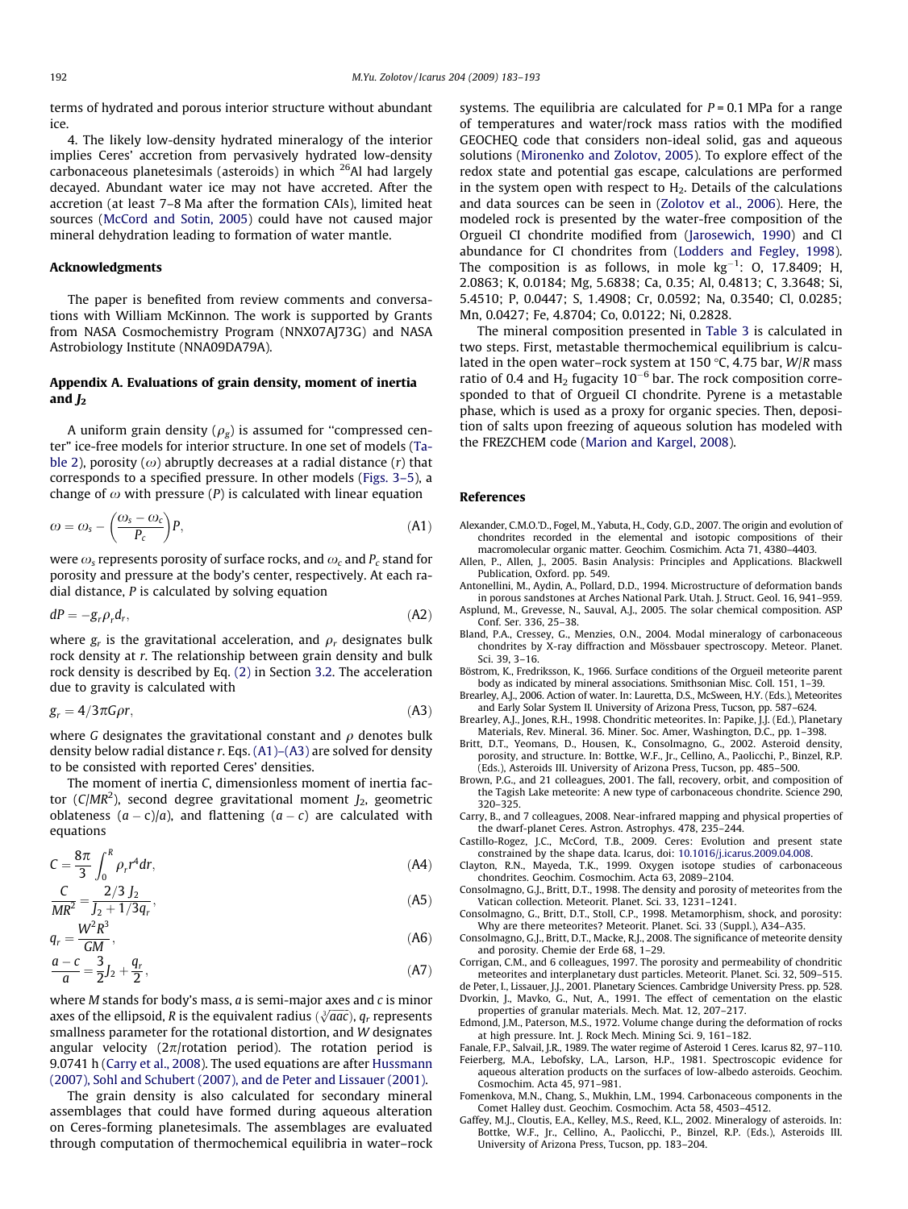<span id="page-9-0"></span>terms of hydrated and porous interior structure without abundant ice.

4. The likely low-density hydrated mineralogy of the interior implies Ceres' accretion from pervasively hydrated low-density carbonaceous planetesimals (asteroids) in which 26Al had largely decayed. Abundant water ice may not have accreted. After the accretion (at least 7–8 Ma after the formation CAIs), limited heat sources ([McCord and Sotin, 2005\)](#page-10-0) could have not caused major mineral dehydration leading to formation of water mantle.

#### Acknowledgments

The paper is benefited from review comments and conversations with William McKinnon. The work is supported by Grants from NASA Cosmochemistry Program (NNX07AJ73G) and NASA Astrobiology Institute (NNA09DA79A).

## Appendix A. Evaluations of grain density, moment of inertia and  $I_2$

A uniform grain density ( $\rho_g$ ) is assumed for "compressed center" ice-free models for interior structure. In one set of models ([Ta](#page-3-0)[ble 2\)](#page-3-0), porosity  $(\omega)$  abruptly decreases at a radial distance  $(r)$  that corresponds to a specified pressure. In other models [\(Figs. 3–5\)](#page-4-0), a change of  $\omega$  with pressure (P) is calculated with linear equation

$$
\omega = \omega_s - \left(\frac{\omega_s - \omega_c}{P_c}\right)P,\tag{A1}
$$

were  $\omega_{s}$  represents porosity of surface rocks, and  $\omega_{c}$  and P<sub>c</sub> stand for porosity and pressure at the body's center, respectively. At each radial distance, P is calculated by solving equation

$$
dP = -g_r \rho_r d_r,\tag{A2}
$$

where  $g_r$  is the gravitational acceleration, and  $\rho_r$  designates bulk rock density at r. The relationship between grain density and bulk rock density is described by Eq. [\(2\)](#page-3-0) in Section [3.2.](#page-3-0) The acceleration due to gravity is calculated with

$$
g_r = 4/3\pi G\rho r,\tag{A3}
$$

where G designates the gravitational constant and  $\rho$  denotes bulk density below radial distance  $r$ . Eqs.  $(A1)$ – $(A3)$  are solved for density to be consisted with reported Ceres' densities.

The moment of inertia C, dimensionless moment of inertia factor (C/MR<sup>2</sup>), second degree gravitational moment  $J_2$ , geometric oblateness (a – c)/a), and flattening (a – c) are calculated with equations

$$
C = \frac{8\pi}{3} \int_0^R \rho_r r^4 dr,\tag{A4}
$$

$$
\frac{C}{MR^2} = \frac{2/3 J_2}{J_2 + 1/3 q_r},
$$
\n(A5)

$$
q_r = \frac{W^2 R^3}{GM},\tag{A6}
$$

$$
\frac{a-c}{a} = \frac{3}{2}J_2 + \frac{q_r}{2},
$$
 (A7)

where  $M$  stands for body's mass,  $a$  is semi-major axes and  $c$  is minor axes of the ellipsoid, R is the equivalent radius  $(\sqrt[3]{aac})$ ,  $q_r$  represents smallness parameter for the rotational distortion, and W designates angular velocity  $(2\pi/rotation period)$ . The rotation period is 9.0741 h (Carry et al., 2008). The used equations are after [Hussmann](#page-10-0) [\(2007\), Sohl and Schubert \(2007\), and de Peter and Lissauer \(2001\)](#page-10-0).

The grain density is also calculated for secondary mineral assemblages that could have formed during aqueous alteration on Ceres-forming planetesimals. The assemblages are evaluated through computation of thermochemical equilibria in water–rock systems. The equilibria are calculated for  $P = 0.1$  MPa for a range of temperatures and water/rock mass ratios with the modified GEOCHEQ code that considers non-ideal solid, gas and aqueous solutions [\(Mironenko and Zolotov, 2005](#page-10-0)). To explore effect of the redox state and potential gas escape, calculations are performed in the system open with respect to  $H_2$ . Details of the calculations and data sources can be seen in ([Zolotov et al., 2006\)](#page-10-0). Here, the modeled rock is presented by the water-free composition of the Orgueil CI chondrite modified from [\(Jarosewich, 1990\)](#page-10-0) and Cl abundance for CI chondrites from [\(Lodders and Fegley, 1998\)](#page-10-0). The composition is as follows, in mole  $kg^{-1}$ : O, 17.8409; H, 2.0863; K, 0.0184; Mg, 5.6838; Ca, 0.35; Al, 0.4813; C, 3.3648; Si, 5.4510; P, 0.0447; S, 1.4908; Cr, 0.0592; Na, 0.3540; Cl, 0.0285; Mn, 0.0427; Fe, 4.8704; Co, 0.0122; Ni, 0.2828.

The mineral composition presented in [Table 3](#page-7-0) is calculated in two steps. First, metastable thermochemical equilibrium is calculated in the open water–rock system at 150 °C, 4.75 bar,  $W/R$  mass ratio of 0.4 and  $H_2$  fugacity  $10^{-6}$  bar. The rock composition corresponded to that of Orgueil CI chondrite. Pyrene is a metastable phase, which is used as a proxy for organic species. Then, deposition of salts upon freezing of aqueous solution has modeled with the FREZCHEM code [\(Marion and Kargel, 2008](#page-10-0)).

#### References

- Alexander, C.M.O.'D., Fogel, M., Yabuta, H., Cody, G.D., 2007. The origin and evolution of chondrites recorded in the elemental and isotopic compositions of their macromolecular organic matter. Geochim. Cosmichim. Acta 71, 4380–4403.
- Allen, P., Allen, J., 2005. Basin Analysis: Principles and Applications. Blackwell Publication, Oxford. pp. 549.
- Antonellini, M., Aydin, A., Pollard, D.D., 1994. Microstructure of deformation bands in porous sandstones at Arches National Park. Utah. J. Struct. Geol. 16, 941–959.
- Asplund, M., Grevesse, N., Sauval, A.J., 2005. The solar chemical composition. ASP Conf. Ser. 336, 25–38.
- Bland, P.A., Cressey, G., Menzies, O.N., 2004. Modal mineralogy of carbonaceous chondrites by X-ray diffraction and Mössbauer spectroscopy. Meteor. Planet. Sci. 39, 3–16.
- Böstrom, K., Fredriksson, K., 1966. Surface conditions of the Orgueil meteorite parent body as indicated by mineral associations. Smithsonian Misc. Coll. 151, 1–39.
- Brearley, A.J., 2006. Action of water. In: Lauretta, D.S., McSween, H.Y. (Eds.), Meteorites and Early Solar System II. University of Arizona Press, Tucson, pp. 587–624.
- Brearley, A.J., Jones, R.H., 1998. Chondritic meteorites. In: Papike, J.J. (Ed.), Planetary Materials, Rev. Mineral. 36. Miner. Soc. Amer, Washington, D.C., pp. 1–398.
- Britt, D.T., Yeomans, D., Housen, K., Consolmagno, G., 2002. Asteroid density, porosity, and structure. In: Bottke, W.F., Jr., Cellino, A., Paolicchi, P., Binzel, R.P. (Eds.), Asteroids III. University of Arizona Press, Tucson, pp. 485–500.
- Brown, P.G., and 21 colleagues, 2001. The fall, recovery, orbit, and composition of the Tagish Lake meteorite: A new type of carbonaceous chondrite. Science 290, 320–325.
- Carry, B., and 7 colleagues, 2008. Near-infrared mapping and physical properties of the dwarf-planet Ceres. Astron. Astrophys. 478, 235–244.
- Castillo-Rogez, J.C., McCord, T.B., 2009. Ceres: Evolution and present state constrained by the shape data. Icarus, doi: [10.1016/j.icarus.2009.04.008.](http://dx.doi.org/10.1016/j.icarus.2009.04.008)
- Clayton, R.N., Mayeda, T.K., 1999. Oxygen isotope studies of carbonaceous chondrites. Geochim. Cosmochim. Acta 63, 2089–2104.
- Consolmagno, G.J., Britt, D.T., 1998. The density and porosity of meteorites from the Vatican collection. Meteorit. Planet. Sci. 33, 1231–1241.
- Consolmagno, G., Britt, D.T., Stoll, C.P., 1998. Metamorphism, shock, and porosity: Why are there meteorites? Meteorit. Planet. Sci. 33 (Suppl.), A34–A35.
- Consolmagno, G.J., Britt, D.T., Macke, R.J., 2008. The significance of meteorite density and porosity. Chemie der Erde 68, 1–29.
- Corrigan, C.M., and 6 colleagues, 1997. The porosity and permeability of chondritic meteorites and interplanetary dust particles. Meteorit. Planet. Sci. 32, 509–515.
- de Peter, I., Lissauer, J.J., 2001. Planetary Sciences. Cambridge University Press. pp. 528. Dvorkin, J., Mavko, G., Nut, A., 1991. The effect of cementation on the elastic
- properties of granular materials. Mech. Mat. 12, 207–217. Edmond, J.M., Paterson, M.S., 1972. Volume change during the deformation of rocks at high pressure. Int. J. Rock Mech. Mining Sci. 9, 161–182.
- Fanale, F.P., Salvail, J.R., 1989. The water regime of Asteroid 1 Ceres. Icarus 82, 97–110.
- Feierberg, M.A., Lebofsky, L.A., Larson, H.P., 1981. Spectroscopic evidence for aqueous alteration products on the surfaces of low-albedo asteroids. Geochim. Cosmochim. Acta 45, 971–981.
- Fomenkova, M.N., Chang, S., Mukhin, L.M., 1994. Carbonaceous components in the Comet Halley dust. Geochim. Cosmochim. Acta 58, 4503–4512.
- Gaffey, M.J., Cloutis, E.A., Kelley, M.S., Reed, K.L., 2002. Mineralogy of asteroids. In: Bottke, W.F., Jr., Cellino, A., Paolicchi, P., Binzel, R.P. (Eds.), Asteroids III. University of Arizona Press, Tucson, pp. 183–204.